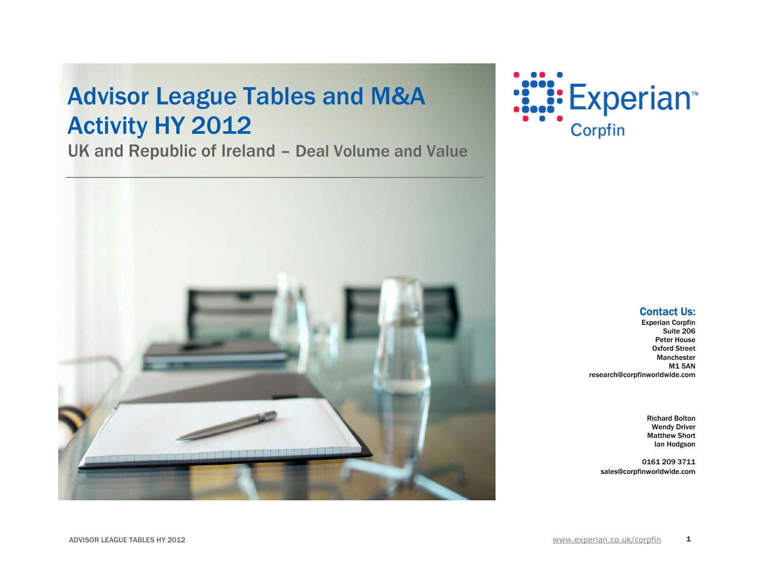## **Advisor League Tables and M&A** Activity HY 2012

UK and Republic of Ireland – Deal Volume and Value





#### Contact Us:

Experian Corpfin Suite 206 Peter House Oxford Street Manchester M1 5AN research@corpfinworldwide.com

> Richard Bolton Wendy Driver Matthew Short Ian Hodgson

> > 1

0161 209 3711 sales@corpfinworldwide.com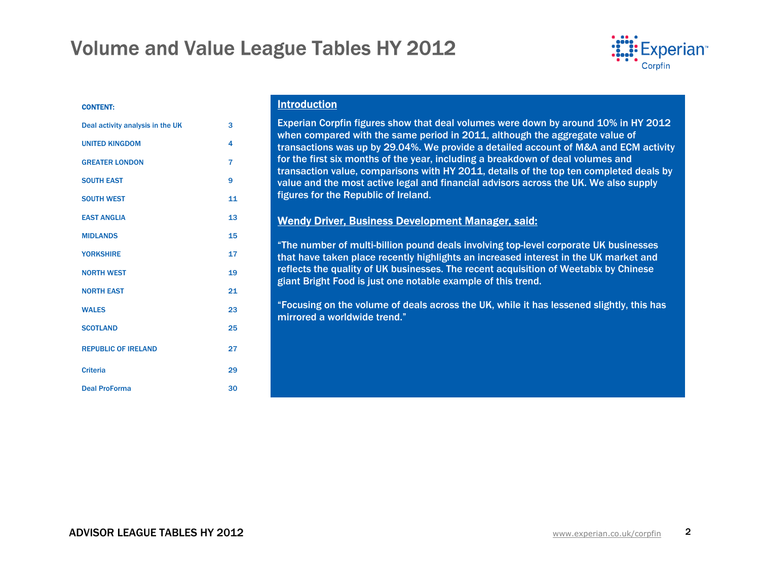

#### CONTENT:

| Deal activity analysis in the UK | 3              |
|----------------------------------|----------------|
| <b>UNITED KINGDOM</b>            | 4              |
| <b>GREATER LONDON</b>            | $\overline{7}$ |
| <b>SOUTH EAST</b>                | 9              |
| <b>SOUTH WEST</b>                | 11             |
| <b>EAST ANGLIA</b>               | 13             |
| <b>MIDLANDS</b>                  | 15             |
| <b>YORKSHIRE</b>                 | 17             |
| <b>NORTH WEST</b>                | 19             |
| <b>NORTH EAST</b>                | 21             |
| <b>WALES</b>                     | 23             |
| <b>SCOTLAND</b>                  | 25             |
| <b>REPUBLIC OF IRELAND</b>       | 27             |
| <b>Criteria</b>                  | 29             |
| <b>Deal ProForma</b>             | 30             |

#### Introduction

Experian Corpfin figures show that deal volumes were down by around 10% in HY 2012 when compared with the same period in 2011, although the aggregate value of transactions was up by 29.04%. We provide a detailed account of M&A and ECM activity for the first six months of the year, including a breakdown of deal volumes and transaction value, comparisons with HY 2011, details of the top ten completed deals by value and the most active legal and financial advisors across the UK. We also supply figures for the Republic of Ireland.

### Wendy Driver, Business Development Manager, said:

"The number of multi-billion pound deals involving top-level corporate UK businesses that have taken place recently highlights an increased interest in the UK market and reflects the quality of UK businesses. The recent acquisition of Weetabix by Chinese giant Bright Food is just one notable example of this trend.

"Focusing on the volume of deals across the UK, while it has lessened slightly, this has mirrored a worldwide trend."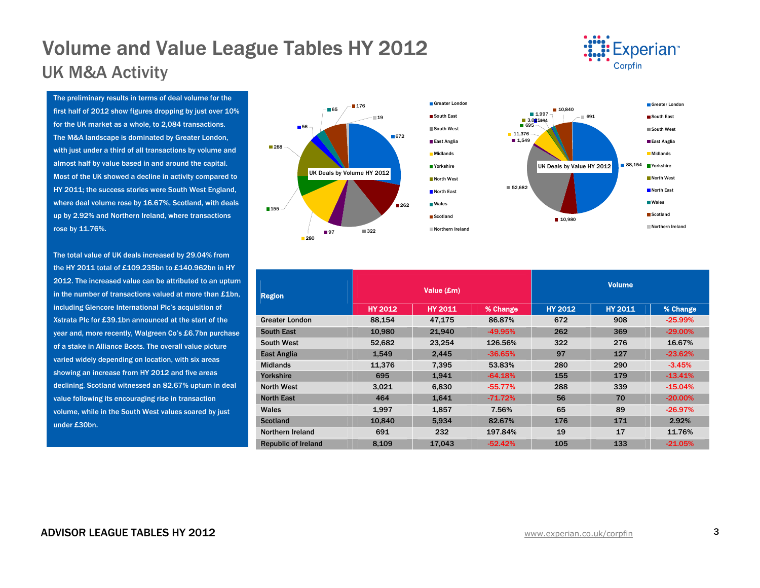## Volume and Value League Tables HY 2012 UK M&A Activity



The preliminary results in terms of deal volume for the first half of 2012 show figures dropping by just over 10% for the UK market as a whole, to 2,084 transactions. The M&A landscape is dominated by Greater London, with just under a third of all transactions by volume and almost half by value based in and around the capital. Most of the UK showed a decline in activity compared to HY 2011; the success stories were South West England, where deal volume rose by 16.67%, Scotland, with deals up by 2.92% and Northern Ireland, where transactions rose by 11.76%.

The total value of UK deals increased by 29.04% from the HY 2011 total of £109.235bn to £140.962bn in HY 2012. The increased value can be attributed to an upturn in the number of transactions valued at more than £1bn, including Glencore International Plc's acquisition of Xstrata Plc for £39.1bn announced at the start of the year and, more recently, Walgreen Co's £6.7bn purchase of a stake in Alliance Boots. The overall value picture varied widely depending on location, with six areas showing an increase from HY 2012 and five areas declining. Scotland witnessed an 82.67% upturn in deal value following its encouraging rise in transaction volume, while in the South West values soared by just under £30bn.



| Region                     |                | Value (£m)     |           |                | <b>Volume</b>  |            |  |  |  |
|----------------------------|----------------|----------------|-----------|----------------|----------------|------------|--|--|--|
|                            | <b>HY 2012</b> | <b>HY 2011</b> | % Change  | <b>HY 2012</b> | <b>HY 2011</b> | % Change   |  |  |  |
| <b>Greater London</b>      | 88,154         | 47,175         | 86.87%    | 672            | 908            | $-25.99%$  |  |  |  |
| <b>South East</b>          | 10,980         | 21,940         | -49.95%   | 262            | 369            | $-29.00\%$ |  |  |  |
| <b>South West</b>          | 52,682         | 23,254         | 126.56%   | 322            | 276            | 16.67%     |  |  |  |
| <b>East Anglia</b>         | 1,549          | 2.445          | $-36.65%$ | 97             | 127            | $-23.62%$  |  |  |  |
| <b>Midlands</b>            | 11.376         | 7.395          | 53.83%    | 280            | 290            | $-3.45%$   |  |  |  |
| Yorkshire                  | 695            | 1,941          | $-64.18%$ | 155            | 179            | $-13.41%$  |  |  |  |
| <b>North West</b>          | 3,021          | 6,830          | $-55.77%$ | 288            | 339            | $-15.04%$  |  |  |  |
| <b>North East</b>          | 464            | 1,641          | $-71.72%$ | 56             | 70             | $-20.00\%$ |  |  |  |
| Wales                      | 1,997          | 1,857          | 7.56%     | 65             | 89             | $-26.97%$  |  |  |  |
| <b>Scotland</b>            | 10.840         | 5.934          | 82.67%    | 176            | 171            | 2.92%      |  |  |  |
| Northern Ireland           | 691            | 232            | 197.84%   | 19             | 17             | 11.76%     |  |  |  |
| <b>Republic of Ireland</b> | 8,109          | 17.043         | $-52.42%$ | 105            | 133            | $-21.05%$  |  |  |  |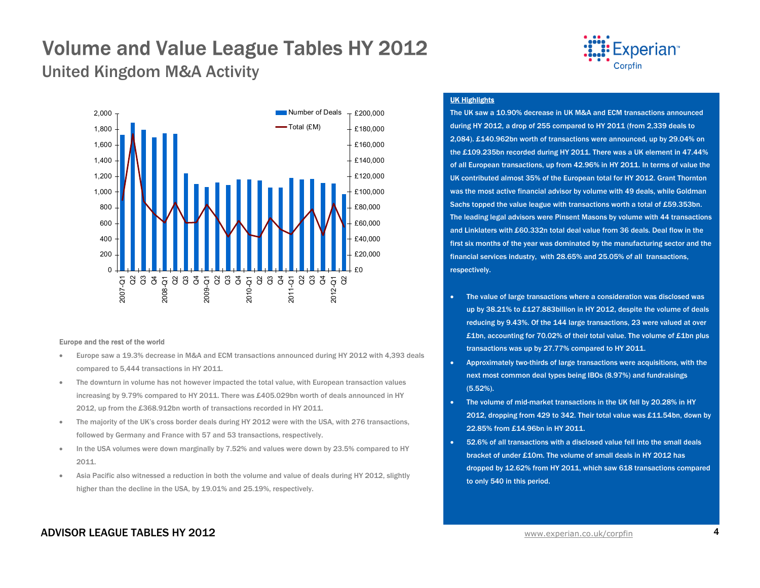United Kingdom M&A Activity



#### Europe and the rest of the world

- • Europe saw a 19.3% decrease in M&A and ECM transactions announced during HY 2012 with 4,393 deals compared to 5,444 transactions in HY 2011.
- • The downturn in volume has not however impacted the total value, with European transaction values increasing by 9.79% compared to HY 2011. There was £405.029bn worth of deals announced in HY 2012, up from the £368.912bn worth of transactions recorded in HY 2011.
- • The majority of the UK's cross border deals during HY 2012 were with the USA, with 276 transactions, followed by Germany and France with 57 and 53 transactions, respectively.
- • In the USA volumes were down marginally by 7.52% and values were down by 23.5% compared to HY 2011.
- • Asia Pacific also witnessed a reduction in both the volume and value of deals during HY 2012, slightly higher than the decline in the USA, by 19.01% and 25.19%, respectively.



#### UK Highlights

The UK saw a 10.90% decrease in UK M&A and ECM transactions announced during HY 2012, a drop of 255 compared to HY 2011 (from 2,339 deals to 2,084). £140.962bn worth of transactions were announced, up by 29.04% on the £109.235bn recorded during HY 2011. There was a UK element in 47.44% of all European transactions, up from 42.96% in HY 2011. In terms of value the UK contributed almost 35% of the European total for HY 2012. Grant Thornton was the most active financial advisor by volume with 49 deals, while Goldman Sachs topped the value league with transactions worth a total of £59.353bn. The leading legal advisors were Pinsent Masons by volume with 44 transactions and Linklaters with £60.332n total deal value from 36 deals. Deal flow in the first six months of the year was dominated by the manufacturing sector and the financial services industry, with 28.65% and 25.05% of all transactions, respectively.

- • The value of large transactions where a consideration was disclosed was up by 38.21% to £127.883billion in HY 2012, despite the volume of deals reducing by 9.43%. Of the 144 large transactions, 23 were valued at over £1bn, accounting for 70.02% of their total value. The volume of £1bn plus transactions was up by 27.77% compared to HY 2011.
- Approximately two-thirds of large transactions were acquisitions, with the next most common deal types being IBOs (8.97%) and fundraisings (5.52%).
- The volume of mid-market transactions in the UK fell by 20.28% in HY 2012, dropping from 429 to 342. Their total value was £11.54bn, down by 22.85% from £14.96bn in HY 2011.
- 52.6% of all transactions with a disclosed value fell into the small deals bracket of under £10m. The volume of small deals in HY 2012 has dropped by 12.62% from HY 2011, which saw 618 transactions compared to only 540 in this period.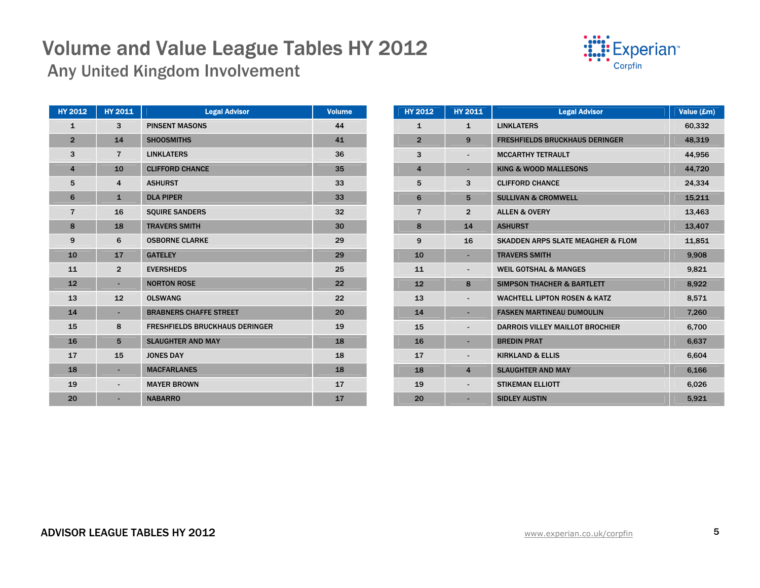Any United Kingdom Involvement

| : <b>:::</b> Experian <sup>®</sup> |
|------------------------------------|
| Corpfin                            |

| <b>HY 2012</b>          | HY 2011                  | <b>Legal Advisor</b>                  | <b>Volume</b> |
|-------------------------|--------------------------|---------------------------------------|---------------|
| $\mathbf{1}$            | 3                        | <b>PINSENT MASONS</b>                 | 44            |
| $\overline{2}$          | 14                       | <b>SHOOSMITHS</b>                     | 41            |
| 3                       | $\overline{7}$           | <b>LINKLATERS</b>                     | 36            |
| $\overline{\mathbf{4}}$ | 10                       | <b>CLIFFORD CHANCE</b>                | 35            |
| 5                       | $\overline{4}$           | <b>ASHURST</b>                        | 33            |
| 6                       | $\mathbf{1}$             | <b>DLA PIPER</b>                      | 33            |
| $\overline{7}$          | 16                       | <b>SQUIRE SANDERS</b>                 | 32            |
| 8                       | 18                       | <b>TRAVERS SMITH</b>                  | 30            |
| 9                       | 6                        | <b>OSBORNE CLARKE</b>                 | 29            |
| 10                      | 17                       | <b>GATELEY</b>                        | 29            |
| 11                      | $\overline{2}$           | <b>EVERSHEDS</b>                      | 25            |
| 12                      | ٠                        | <b>NORTON ROSE</b>                    | 22            |
| 13                      | 12                       | <b>OLSWANG</b>                        | 22            |
| 14                      | ٠                        | <b>BRABNERS CHAFFE STREET</b>         | 20            |
| 15                      | 8                        | <b>FRESHFIELDS BRUCKHAUS DERINGER</b> | 19            |
| 16                      | 5                        | <b>SLAUGHTER AND MAY</b>              | 18            |
| 17                      | 15                       | <b>JONES DAY</b>                      | 18            |
| 18                      |                          | <b>MACFARLANES</b>                    | 18            |
| 19                      | $\overline{\phantom{0}}$ | <b>MAYER BROWN</b>                    | 17            |
| 20                      |                          | <b>NABARRO</b>                        | 17            |

| <b>HY 2012</b> | <b>HY 2011</b> | <b>Legal Advisor</b>                         | Value (£m) |
|----------------|----------------|----------------------------------------------|------------|
| $\mathbf{1}$   | $\mathbf{1}$   | <b>LINKLATERS</b>                            | 60,332     |
| $\overline{2}$ | 9              | <b>FRESHFIELDS BRUCKHAUS DERINGER</b>        | 48,319     |
| 3              |                | <b>MCCARTHY TETRAULT</b>                     | 44,956     |
| $\overline{4}$ | ٠              | <b>KING &amp; WOOD MALLESONS</b>             | 44,720     |
| 5              | 3              | <b>CLIFFORD CHANCE</b>                       | 24,334     |
| 6              | 5              | <b>SULLIVAN &amp; CROMWELL</b>               | 15,211     |
| $\overline{7}$ | $\overline{2}$ | <b>ALLEN &amp; OVERY</b>                     | 13,463     |
| 8              | 14             | <b>ASHURST</b>                               | 13,407     |
| 9              | 16             | <b>SKADDEN ARPS SLATE MEAGHER &amp; FLOM</b> | 11,851     |
| 10             |                | <b>TRAVERS SMITH</b>                         | 9,908      |
| 11             |                | <b>WEIL GOTSHAL &amp; MANGES</b>             | 9,821      |
| 12             | 8              | <b>SIMPSON THACHER &amp; BARTLETT</b>        | 8,922      |
| 13             |                | <b>WACHTELL LIPTON ROSEN &amp; KATZ</b>      | 8,571      |
| 14             |                | <b>FASKEN MARTINEAU DUMOULIN</b>             | 7,260      |
| 15             |                | <b>DARROIS VILLEY MAILLOT BROCHIER</b>       | 6,700      |
| 16             |                | <b>BREDIN PRAT</b>                           | 6,637      |
| 17             | $\blacksquare$ | <b>KIRKLAND &amp; ELLIS</b>                  | 6,604      |
| 18             | $\overline{4}$ | <b>SLAUGHTER AND MAY</b>                     | 6.166      |
| 19             |                | <b>STIKEMAN ELLIOTT</b>                      | 6,026      |
| 20             |                | <b>SIDLEY AUSTIN</b>                         | 5,921      |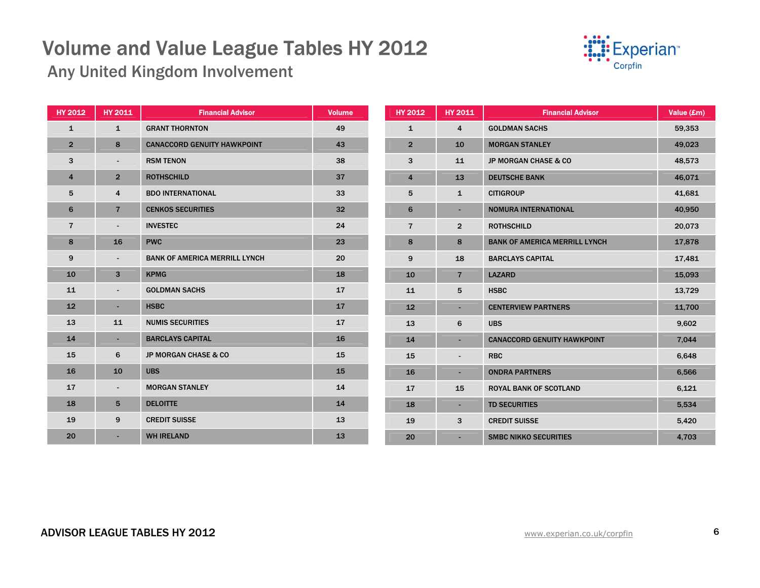

Any United Kingdom Involvement

| <b>HY 2012</b> | <b>HY 2011</b>           | <b>Financial Advisor</b>             | <b>Volume</b> | <b>HY 2012</b> | <b>HY 2011</b>           | <b>Financial Advisor</b>             | Value (£m) |
|----------------|--------------------------|--------------------------------------|---------------|----------------|--------------------------|--------------------------------------|------------|
| $\mathbf{1}$   | $\mathbf{1}$             | <b>GRANT THORNTON</b>                | 49            | $\mathbf{1}$   | 4                        | <b>GOLDMAN SACHS</b>                 | 59,353     |
| $\overline{2}$ | 8                        | <b>CANACCORD GENUITY HAWKPOINT</b>   | 43            | $\overline{2}$ | 10                       | <b>MORGAN STANLEY</b>                | 49,023     |
| 3              | $\blacksquare$           | <b>RSM TENON</b>                     | 38            | 3              | 11                       | JP MORGAN CHASE & CO                 | 48,573     |
| 4              | $\overline{2}$           | <b>ROTHSCHILD</b>                    | 37            | 4              | 13                       | <b>DEUTSCHE BANK</b>                 | 46,071     |
| 5              | 4                        | <b>BDO INTERNATIONAL</b>             | 33            | 5              | $\mathbf{1}$             | <b>CITIGROUP</b>                     | 41,681     |
| 6              | $\overline{7}$           | <b>CENKOS SECURITIES</b>             | 32            | 6              | $\sim$                   | <b>NOMURA INTERNATIONAL</b>          | 40,950     |
| $\overline{7}$ | $\blacksquare$           | <b>INVESTEC</b>                      | 24            | $\overline{7}$ | $\overline{2}$           | <b>ROTHSCHILD</b>                    | 20,073     |
| 8              | 16                       | <b>PWC</b>                           | 23            | 8              | 8                        | <b>BANK OF AMERICA MERRILL LYNCH</b> | 17,878     |
| 9              | $\blacksquare$           | <b>BANK OF AMERICA MERRILL LYNCH</b> | 20            | 9              | 18                       | <b>BARCLAYS CAPITAL</b>              | 17,481     |
| 10             | 3                        | <b>KPMG</b>                          | 18            | 10             | $\overline{7}$           | <b>LAZARD</b>                        | 15,093     |
| 11             | $\blacksquare$           | <b>GOLDMAN SACHS</b>                 | 17            | 11             | 5                        | <b>HSBC</b>                          | 13,729     |
| 12             | ٠                        | <b>HSBC</b>                          | 17            | 12             | ٠                        | <b>CENTERVIEW PARTNERS</b>           | 11,700     |
| 13             | 11                       | <b>NUMIS SECURITIES</b>              | 17            | 13             | 6                        | <b>UBS</b>                           | 9,602      |
| 14             | ٠                        | <b>BARCLAYS CAPITAL</b>              | 16            | 14             |                          | <b>CANACCORD GENUITY HAWKPOINT</b>   | 7,044      |
| 15             | 6                        | <b>JP MORGAN CHASE &amp; CO</b>      | 15            | 15             | $\blacksquare$           | <b>RBC</b>                           | 6,648      |
| 16             | 10                       | <b>UBS</b>                           | 15            | 16             | $\overline{\phantom{a}}$ | <b>ONDRA PARTNERS</b>                | 6,566      |
| 17             | $\overline{\phantom{a}}$ | <b>MORGAN STANLEY</b>                | 14            | 17             | 15                       | <b>ROYAL BANK OF SCOTLAND</b>        | 6,121      |
| 18             | 5                        | <b>DELOITTE</b>                      | 14            | 18             | $\sim$                   | <b>TD SECURITIES</b>                 | 5,534      |
| 19             | 9                        | <b>CREDIT SUISSE</b>                 | 13            | 19             | 3                        | <b>CREDIT SUISSE</b>                 | 5,420      |
| 20             | ٠                        | <b>WH IRELAND</b>                    | 13            | 20             |                          | <b>SMBC NIKKO SECURITIES</b>         | 4,703      |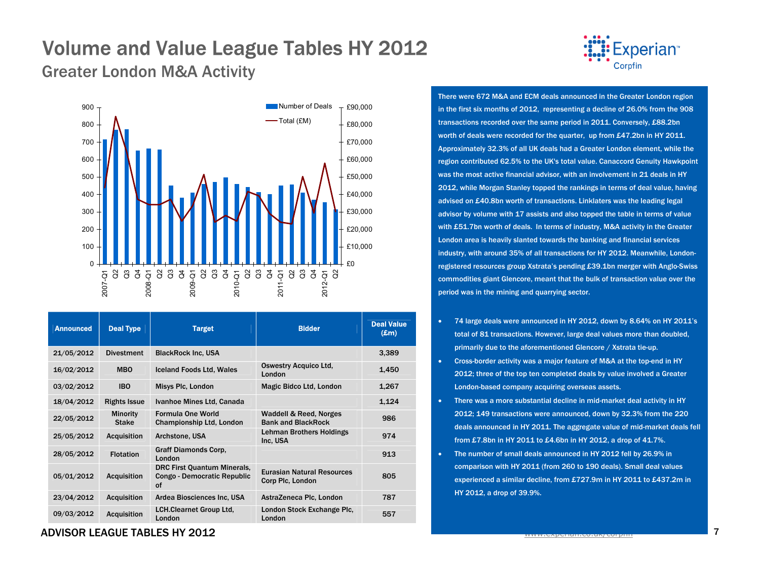Greater London M&A Activity



| <b>Announced</b> | <b>Deal Type</b>                | <b>Target</b>                                                    | <b>Bidder</b>                                         | <b>Deal Value</b><br>$(\mathbf{Em})$ |
|------------------|---------------------------------|------------------------------------------------------------------|-------------------------------------------------------|--------------------------------------|
| 21/05/2012       | <b>Divestment</b>               | <b>BlackRock Inc. USA</b>                                        |                                                       | 3,389                                |
| 16/02/2012       | <b>MBO</b>                      | <b>Iceland Foods Ltd, Wales</b>                                  | <b>Oswestry Acquico Ltd,</b><br>London                | 1,450                                |
| 03/02/2012       | <b>IBO</b>                      | Misys Plc, London                                                | Magic Bidco Ltd, London                               | 1,267                                |
| 18/04/2012       | <b>Rights Issue</b>             | Ivanhoe Mines Ltd, Canada                                        |                                                       | 1,124                                |
| 22/05/2012       | <b>Minority</b><br><b>Stake</b> | Formula One World<br>Championship Ltd, London                    | Waddell & Reed, Norges<br><b>Bank and BlackRock</b>   | 986                                  |
| 25/05/2012       | <b>Acquisition</b>              | Archstone, USA                                                   | Lehman Brothers Holdings<br>Inc. USA                  | 974                                  |
| 28/05/2012       | <b>Flotation</b>                | Graff Diamonds Corp.<br>London                                   |                                                       | 913                                  |
| 05/01/2012       | <b>Acquisition</b>              | DRC First Quantum Minerals,<br>Congo - Democratic Republic<br>of | <b>Eurasian Natural Resources</b><br>Corp Plc, London | 805                                  |
| 23/04/2012       | <b>Acquisition</b>              | Ardea Biosciences Inc, USA                                       | AstraZeneca Plc, London                               | 787                                  |
| 09/03/2012       | <b>Acquisition</b>              | <b>LCH.Clearnet Group Ltd.</b><br>London                         | London Stock Exchange Plc.<br>London                  | 557                                  |

### **Experian**<sup>\*</sup> Corpfin

There were 672 M&A and ECM deals announced in the Greater London region in the first six months of 2012, representing a decline of 26.0% from the 908 transactions recorded over the same period in 2011. Conversely, £88.2bn worth of deals were recorded for the quarter, up from £47.2bn in HY 2011. Approximately 32.3% of all UK deals had a Greater London element, while the region contributed 62.5% to the UK's total value. Canaccord Genuity Hawkpoint was the most active financial advisor, with an involvement in 21 deals in HY 2012, while Morgan Stanley topped the rankings in terms of deal value, having advised on £40.8bn worth of transactions. Linklaters was the leading legal advisor by volume with 17 assists and also topped the table in terms of value with £51.7bn worth of deals. In terms of industry, M&A activity in the Greater London area is heavily slanted towards the banking and financial services industry, with around 35% of all transactions for HY 2012. Meanwhile, Londonregistered resources group Xstrata's pending £39.1bn merger with Anglo-Swiss commodities giant Glencore, meant that the bulk of transaction value over the period was in the mining and quarrying sector.

- 74 large deals were announced in HY 2012, down by 8.64% on HY 2011's total of 81 transactions. However, large deal values more than doubled, primarily due to the aforementioned Glencore / Xstrata tie-up.
- Cross-border activity was a major feature of M&A at the top-end in HY 2012; three of the top ten completed deals by value involved a Greater London-based company acquiring overseas assets.
- There was a more substantial decline in mid-market deal activity in HY 2012; 149 transactions were announced, down by 32.3% from the 220 deals announced in HY 2011. The aggregate value of mid-market deals fell from £7.8bn in HY 2011 to £4.6bn in HY 2012, a drop of 41.7%.
- • The number of small deals announced in HY 2012 fell by 26.9% in comparison with HY 2011 (from 260 to 190 deals). Small deal values experienced a similar decline, from £727.9m in HY 2011 to £437.2m in HY 2012, a drop of 39.9%.

#### ADVISOR LEAGUE TABLES HY 2012 $\sim$  2 and  $\sim$  7 and  $\sim$  7 and  $\sim$  7 and  $\sim$  7 and  $\sim$  7 and  $\sim$  7 and  $\sim$  7 and  $\sim$  7 and  $\sim$  7 and  $\sim$  7 and  $\sim$  7 and  $\sim$  7 and  $\sim$  7 and  $\sim$  7 and  $\sim$  7 and  $\sim$  7 and  $\sim$  7 and  $\sim$  7 and  $\sim$  7 and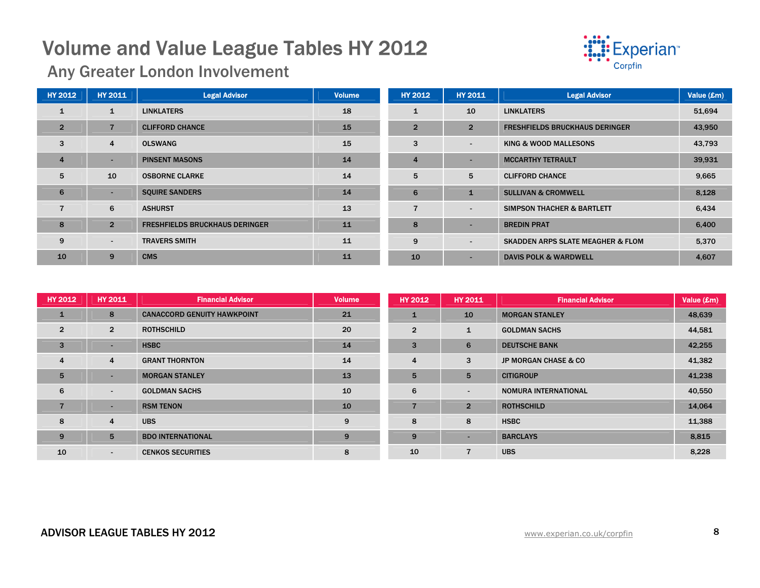

Any Greater London Involvement

| <b>HY 2012</b> | <b>HY 2011</b> | <b>Legal Advisor</b>                  | <b>Volume</b> | HY 2012        | <b>HY 2011</b>           | <b>Legal Advisor</b>                         | Value (£m) |
|----------------|----------------|---------------------------------------|---------------|----------------|--------------------------|----------------------------------------------|------------|
|                | $\mathbf{1}$   | <b>LINKLATERS</b>                     | 18            |                | 10                       | <b>LINKLATERS</b>                            | 51,694     |
| $\overline{2}$ | $\overline{7}$ | <b>CLIFFORD CHANCE</b>                | 15            | $\overline{2}$ | $\overline{2}$           | <b>FRESHFIELDS BRUCKHAUS DERINGER</b>        | 43,950     |
| 3              | $\overline{4}$ | <b>OLSWANG</b>                        | 15            | 3              | $\blacksquare$           | KING & WOOD MALLESONS                        | 43,793     |
| $\overline{4}$ | н.             | <b>PINSENT MASONS</b>                 | 14            | $\overline{4}$ |                          | <b>MCCARTHY TETRAULT</b>                     | 39,931     |
| 5              | 10             | <b>OSBORNE CLARKE</b>                 | 14            | 5              | 5                        | <b>CLIFFORD CHANCE</b>                       | 9,665      |
| 6              | ۰.             | <b>SQUIRE SANDERS</b>                 | 14            | 6              | $\mathbf{1}$             | <b>SULLIVAN &amp; CROMWELL</b>               | 8,128      |
|                | 6              | <b>ASHURST</b>                        | 13            |                | $\overline{\phantom{0}}$ | SIMPSON THACHER & BARTLETT                   | 6,434      |
| 8              | $\overline{2}$ | <b>FRESHFIELDS BRUCKHAUS DERINGER</b> | 11            | 8              |                          | <b>BREDIN PRAT</b>                           | 6,400      |
| 9              | $\blacksquare$ | <b>TRAVERS SMITH</b>                  | 11            | 9              | $\overline{\phantom{a}}$ | <b>SKADDEN ARPS SLATE MEAGHER &amp; FLOM</b> | 5,370      |
| 10             | 9              | <b>CMS</b>                            | 11            | 10             |                          | <b>DAVIS POLK &amp; WARDWELL</b>             | 4,607      |

| <b>HY 2012</b> | <b>HY 2011</b> | <b>Financial Advisor</b>           | <b>Volume</b> | <b>HY 2012</b> | <b>HY 2011</b>           | <b>Financial Advisor</b>        | Value (£m) |
|----------------|----------------|------------------------------------|---------------|----------------|--------------------------|---------------------------------|------------|
| $\mathbf{1}$   | 8              | <b>CANACCORD GENUITY HAWKPOINT</b> | 21            |                | 10                       | <b>MORGAN STANLEY</b>           | 48,639     |
| $\overline{2}$ | $\overline{2}$ | <b>ROTHSCHILD</b>                  | 20            | $\overline{2}$ | $\mathbf{1}$             | <b>GOLDMAN SACHS</b>            | 44,581     |
| $\overline{3}$ | н.             | <b>HSBC</b>                        | 14            | 3              | 6                        | <b>DEUTSCHE BANK</b>            | 42,255     |
| 4              | 4              | <b>GRANT THORNTON</b>              | 14            | 4              | 3                        | <b>JP MORGAN CHASE &amp; CO</b> | 41,382     |
| 5              |                | <b>MORGAN STANLEY</b>              | 13            | 5              | 5                        | <b>CITIGROUP</b>                | 41,238     |
| 6              | $\blacksquare$ | <b>GOLDMAN SACHS</b>               | 10            | 6              | $\overline{\phantom{a}}$ | <b>NOMURA INTERNATIONAL</b>     | 40,550     |
| $\overline{7}$ | ۰              | <b>RSM TENON</b>                   | 10            |                | $\overline{2}$           | <b>ROTHSCHILD</b>               | 14,064     |
| 8              | 4              | <b>UBS</b>                         | 9             | 8              | 8                        | <b>HSBC</b>                     | 11,388     |
| 9              | 5              | <b>BDO INTERNATIONAL</b>           | 9             | 9              | $\overline{\phantom{a}}$ | <b>BARCLAYS</b>                 | 8,815      |
| 10             | $\sim$         | <b>CENKOS SECURITIES</b>           | 8             | 10             |                          | <b>UBS</b>                      | 8,228      |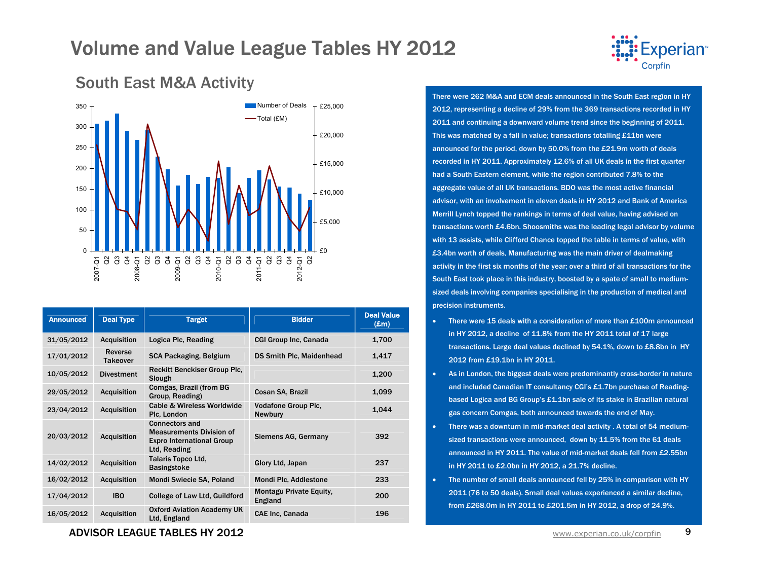



South East M&A Activity

| <b>Announced</b> | <b>Deal Type</b>           | <b>Target</b>                                                                                                | <b>Bidder</b>                                | <b>Deal Value</b><br>$(\mathbf{Em})$ |
|------------------|----------------------------|--------------------------------------------------------------------------------------------------------------|----------------------------------------------|--------------------------------------|
| 31/05/2012       | <b>Acquisition</b>         | Logica Plc, Reading                                                                                          | <b>CGI Group Inc, Canada</b>                 | 1,700                                |
| 17/01/2012       | Reverse<br><b>Takeover</b> | SCA Packaging, Belgium                                                                                       | <b>DS Smith Plc, Maidenhead</b>              | 1,417                                |
| 10/05/2012       | <b>Divestment</b>          | <b>Reckitt Benckiser Group Plc.</b><br>Slough                                                                |                                              | 1,200                                |
| 29/05/2012       | <b>Acquisition</b>         | Comgas, Brazil (from BG<br>Group, Reading)                                                                   | Cosan SA, Brazil                             | 1,099                                |
| 23/04/2012       | <b>Acquisition</b>         | <b>Cable &amp; Wireless Worldwide</b><br>Plc. London                                                         | <b>Vodafone Group Plc.</b><br><b>Newbury</b> | 1.044                                |
| 20/03/2012       | <b>Acquisition</b>         | <b>Connectors and</b><br><b>Measurements Division of</b><br><b>Expro International Group</b><br>Ltd, Reading | Siemens AG, Germany                          | 392                                  |
| 14/02/2012       | <b>Acquisition</b>         | <b>Talaris Topco Ltd.</b><br><b>Basingstoke</b>                                                              | Glory Ltd, Japan                             | 237                                  |
| 16/02/2012       | <b>Acquisition</b>         | Mondi Swiecie SA, Poland                                                                                     | Mondi Plc, Addlestone                        | 233                                  |
| 17/04/2012       | <b>IBO</b>                 | College of Law Ltd, Guildford                                                                                | Montagu Private Equity,<br>England           | 200                                  |
| 16/05/2012       | <b>Acquisition</b>         | <b>Oxford Aviation Academy UK</b><br>Ltd, England                                                            | <b>CAE Inc. Canada</b>                       | 196                                  |

### There were 262 M&A and ECM deals announced in the South East region in HY 2012, representing a decline of 29% from the 369 transactions recorded in HY 2011 and continuing a downward volume trend since the beginning of 2011. This was matched by a fall in value; transactions totalling £11bn were announced for the period, down by 50.0% from the £21.9m worth of deals recorded in HY 2011. Approximately 12.6% of all UK deals in the first quarter had a South Eastern element, while the region contributed 7.8% to the aggregate value of all UK transactions. BDO was the most active financial

advisor, with an involvement in eleven deals in HY 2012 and Bank of America Merrill Lynch topped the rankings in terms of deal value, having advised on transactions worth £4.6bn. Shoosmiths was the leading legal advisor by volume with 13 assists, while Clifford Chance topped the table in terms of value, with £3.4bn worth of deals. Manufacturing was the main driver of dealmaking activity in the first six months of the year; over a third of all transactions for the South East took place in this industry, boosted by a spate of small to mediumsized deals involving companies specialising in the production of medical and precision instruments.

- •There were 15 deals with a consideration of more than £100m announced in HY 2012, a decline of 11.8% from the HY 2011 total of 17 large transactions. Large deal values declined by 54.1%, down to £8.8bn in HY 2012 from £19.1bn in HY 2011.
- • As in London, the biggest deals were predominantly cross-border in nature and included Canadian IT consultancy CGI's £1.7bn purchase of Readingbased Logica and BG Group's £1.1bn sale of its stake in Brazilian natural gas concern Comgas, both announced towards the end of May.
- There was a downturn in mid-market deal activity . A total of 54 mediumsized transactions were announced, down by 11.5% from the 61 deals announced in HY 2011. The value of mid-market deals fell from £2.55bn in HY 2011 to £2.0bn in HY 2012, a 21.7% decline.
- • The number of small deals announced fell by 25% in comparison with HY 2011 (76 to 50 deals). Small deal values experienced a similar decline, from £268.0m in HY 2011 to £201.5m in HY 2012, a drop of 24.9%.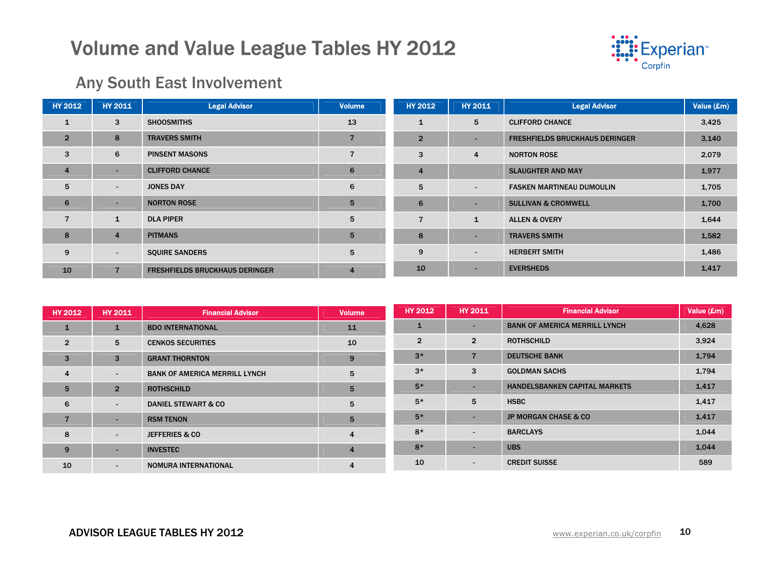

### Any South East Involvement

| <b>HY 2012</b> | <b>HY 2011</b> | <b>Legal Advisor</b>                  | <b>Volume</b>  | <b>HY 2012</b>   | <b>HY 2011</b> | <b>Legal Advisor</b>                  | Value (£m) |
|----------------|----------------|---------------------------------------|----------------|------------------|----------------|---------------------------------------|------------|
| $\mathbf{1}$   | 3              | <b>SHOOSMITHS</b>                     | 13             | $\mathbf{1}$     | 5              | <b>CLIFFORD CHANCE</b>                | 3,425      |
| $\overline{2}$ | 8              | <b>TRAVERS SMITH</b>                  |                | $\overline{2}$   |                | <b>FRESHFIELDS BRUCKHAUS DERINGER</b> | 3,140      |
| 3              | 6              | <b>PINSENT MASONS</b>                 |                | 3                | $\overline{4}$ | <b>NORTON ROSE</b>                    | 2,079      |
| $\overline{4}$ | н.             | <b>CLIFFORD CHANCE</b>                | 6              | $\boldsymbol{4}$ |                | <b>SLAUGHTER AND MAY</b>              | 1,977      |
| 5              | $\blacksquare$ | <b>JONES DAY</b>                      | 6              | 5                | $\sim$         | <b>FASKEN MARTINEAU DUMOULIN</b>      | 1,705      |
| 6              | н.             | <b>NORTON ROSE</b>                    | 5              | 6                |                | <b>SULLIVAN &amp; CROMWELL</b>        | 1,700      |
| $\overline{7}$ | $\mathbf{1}$   | <b>DLA PIPER</b>                      | 5              |                  | $\mathbf{1}$   | <b>ALLEN &amp; OVERY</b>              | 1,644      |
| 8              | $\overline{4}$ | <b>PITMANS</b>                        | 5              | 8                |                | <b>TRAVERS SMITH</b>                  | 1,582      |
| 9              | $\sim$         | <b>SQUIRE SANDERS</b>                 | 5              | 9                | $\sim$         | <b>HERBERT SMITH</b>                  | 1,486      |
| 10             | $\overline{7}$ | <b>FRESHFIELDS BRUCKHAUS DERINGER</b> | $\overline{4}$ | 10               |                | <b>EVERSHEDS</b>                      | 1,417      |

| <b>HY 2012</b>  | <b>HY 2011</b>           | <b>Financial Advisor</b>             | <b>Volume</b>  | <b>HY 2012</b> | <b>HY 2011</b> | <b>Financial Advisor</b>             | Value (£m) |
|-----------------|--------------------------|--------------------------------------|----------------|----------------|----------------|--------------------------------------|------------|
| $\mathbf{1}$    | $\mathbf{1}$             | <b>BDO INTERNATIONAL</b>             | 11             |                |                | <b>BANK OF AMERICA MERRILL LYNCH</b> | 4,628      |
| $\overline{2}$  | 5                        | <b>CENKOS SECURITIES</b>             | 10             | $\overline{2}$ | $\overline{2}$ | <b>ROTHSCHILD</b>                    | 3,924      |
| $\overline{3}$  | 3                        | <b>GRANT THORNTON</b>                | 9              | $3*$           |                | <b>DEUTSCHE BANK</b>                 | 1,794      |
| $\overline{4}$  | $\overline{\phantom{a}}$ | <b>BANK OF AMERICA MERRILL LYNCH</b> | 5              | $3*$           | 3              | <b>GOLDMAN SACHS</b>                 | 1,794      |
| $5\overline{5}$ | $\overline{2}$           | <b>ROTHSCHILD</b>                    | 5              | $5*$           | -              | <b>HANDELSBANKEN CAPITAL MARKETS</b> | 1,417      |
| 6               | $\overline{\phantom{a}}$ | <b>DANIEL STEWART &amp; CO</b>       | 5              | $5*$           | 5              | <b>HSBC</b>                          | 1,417      |
| $\overline{7}$  |                          | <b>RSM TENON</b>                     | 5              | $5*$           |                | <b>JP MORGAN CHASE &amp; CO</b>      | 1,417      |
| 8               | $\overline{\phantom{a}}$ | <b>JEFFERIES &amp; CO</b>            | $\overline{4}$ | $8*$           | $\sim$         | <b>BARCLAYS</b>                      | 1,044      |
| 9               | $\sim$                   | <b>INVESTEC</b>                      | $\overline{4}$ | $8*$           | -              | <b>UBS</b>                           | 1,044      |
| 10              | $\blacksquare$           | NOMURA INTERNATIONAL                 |                | 10             | $\sim$         | <b>CREDIT SUISSE</b>                 | 589        |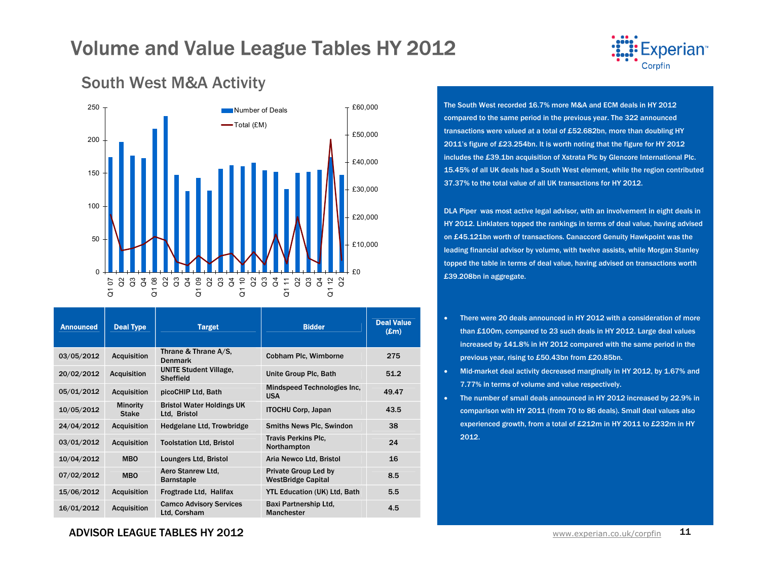

#### 050100150200 250  $\overline{\alpha}$ Q2 Q3 Q4 Q1 08 Q2 Q3 Q4 Q2 Q3 Q4 Q2 Q3 Q4 Q1 11 Q2 Q3 Q4 Q2  $\overline{c}$  $\overline{c}$  $\overline{c}$ £0£10,000 £20,000 £30,000 £40,000 £50,000 Number of Deals  $\bm{\top}$  £60,000 Total (£M)

South West M&A Activity

| <b>Announced</b> | <b>Deal Type</b>                | <b>Target</b>                                     | <b>Bidder</b>                                            | <b>Deal Value</b><br>$(\mathbf{Em})$ |
|------------------|---------------------------------|---------------------------------------------------|----------------------------------------------------------|--------------------------------------|
| 03/05/2012       | <b>Acquisition</b>              | Thrane & Thrane A/S,<br><b>Denmark</b>            | Cobham Plc, Wimborne                                     | 275                                  |
| 20/02/2012       | <b>Acquisition</b>              | <b>UNITE Student Village,</b><br><b>Sheffield</b> | Unite Group Plc, Bath                                    | 51.2                                 |
| 05/01/2012       | <b>Acquisition</b>              | picoCHIP Ltd, Bath                                | Mindspeed Technologies Inc.<br><b>USA</b>                | 49.47                                |
| 10/05/2012       | <b>Minority</b><br><b>Stake</b> | <b>Bristol Water Holdings UK</b><br>Ltd. Bristol  | <b>ITOCHU Corp, Japan</b>                                | 43.5                                 |
| 24/04/2012       | <b>Acquisition</b>              | Hedgelane Ltd, Trowbridge                         | <b>Smiths News Plc, Swindon</b>                          | 38                                   |
| 03/01/2012       | <b>Acquisition</b>              | <b>Toolstation Ltd, Bristol</b>                   | <b>Travis Perkins Plc.</b><br>Northampton                | 24                                   |
| 10/04/2012       | <b>MBO</b>                      | Loungers Ltd, Bristol                             | Aria Newco Ltd, Bristol                                  | 16                                   |
| 07/02/2012       | <b>MBO</b>                      | Aero Stanrew Ltd.<br><b>Barnstaple</b>            | <b>Private Group Led by</b><br><b>WestBridge Capital</b> | 8.5                                  |
| 15/06/2012       | <b>Acquisition</b>              | Frogtrade Ltd, Halifax                            | <b>YTL Education (UK) Ltd, Bath</b>                      | 5.5                                  |
| 16/01/2012       | <b>Acquisition</b>              | <b>Camco Advisory Services</b><br>Ltd. Corsham    | Baxi Partnership Ltd.<br><b>Manchester</b>               | 4.5                                  |

#### The South West recorded 16.7% more M&A and ECM deals in HY 2012 compared to the same period in the previous year. The 322 announced transactions were valued at a total of £52.682bn, more than doubling HY 2011's figure of £23.254bn. It is worth noting that the figure for HY 2012 includes the £39.1bn acquisition of Xstrata Plc by Glencore International Plc. 15.45% of all UK deals had a South West element, while the region contributed 37.37% to the total value of all UK transactions for HY 2012.

DLA Piper was most active legal advisor, with an involvement in eight deals in HY 2012. Linklaters topped the rankings in terms of deal value, having advised on £45.121bn worth of transactions. Canaccord Genuity Hawkpoint was the leading financial advisor by volume, with twelve assists, while Morgan Stanley topped the table in terms of deal value, having advised on transactions worth £39.208bn in aggregate.

- There were 20 deals announced in HY 2012 with a consideration of more than £100m, compared to 23 such deals in HY 2012. Large deal values increased by 141.8% in HY 2012 compared with the same period in the previous year, rising to £50.43bn from £20.85bn.
- Mid-market deal activity decreased marginally in HY 2012, by 1.67% and 7.77% in terms of volume and value respectively.
- The number of small deals announced in HY 2012 increased by 22.9% in comparison with HY 2011 (from 70 to 86 deals). Small deal values also experienced growth, from a total of £212m in HY 2011 to £232m in HY 2012.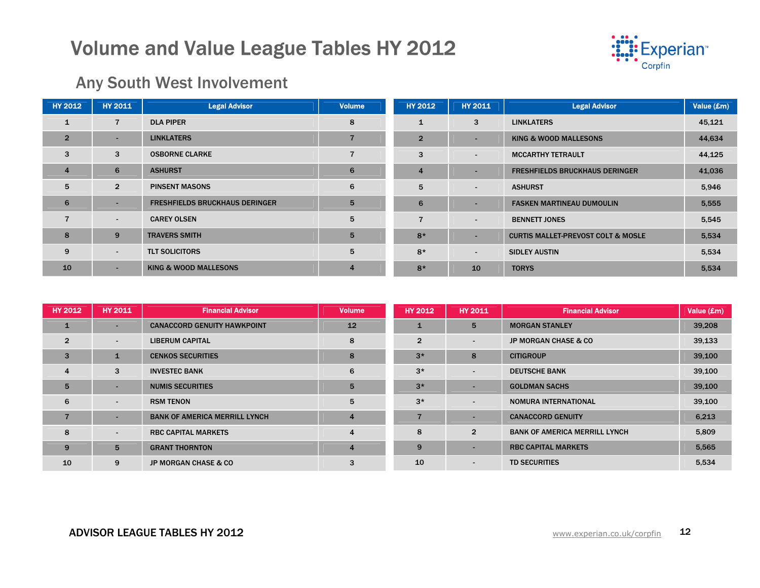

### Any South West Involvement

| <b>HY 2012</b> | <b>HY 2011</b> | <b>Legal Advisor</b>                  | <b>Volume</b>  | <b>HY 2012</b> | <b>HY 2011</b> | <b>Legal Advisor</b>                          | Value (£m) |
|----------------|----------------|---------------------------------------|----------------|----------------|----------------|-----------------------------------------------|------------|
|                | $\overline{7}$ | <b>DLA PIPER</b>                      | 8              | $\mathbf{1}$   | 3              | <b>LINKLATERS</b>                             | 45,121     |
| $\overline{2}$ | ۰              | <b>LINKLATERS</b>                     |                | $\overline{2}$ |                | <b>KING &amp; WOOD MALLESONS</b>              | 44,634     |
| 3              | 3              | <b>OSBORNE CLARKE</b>                 |                | 3              | $\sim$         | <b>MCCARTHY TETRAULT</b>                      | 44,125     |
| $\overline{4}$ | 6              | <b>ASHURST</b>                        | 6              | $\overline{4}$ |                | <b>FRESHFIELDS BRUCKHAUS DERINGER</b>         | 41,036     |
| 5              | $\overline{2}$ | <b>PINSENT MASONS</b>                 | 6              | 5              | $\sim$         | <b>ASHURST</b>                                | 5,946      |
| 6              | ۰.             | <b>FRESHFIELDS BRUCKHAUS DERINGER</b> | 5              | 6              |                | <b>FASKEN MARTINEAU DUMOULIN</b>              | 5,555      |
| $\overline{7}$ | $\blacksquare$ | <b>CAREY OLSEN</b>                    | 5              | $\overline{7}$ | $\sim$         | <b>BENNETT JONES</b>                          | 5,545      |
| 8              | 9              | <b>TRAVERS SMITH</b>                  | 5              | $8*$           |                | <b>CURTIS MALLET-PREVOST COLT &amp; MOSLE</b> | 5,534      |
| 9              | $\blacksquare$ | <b>TLT SOLICITORS</b>                 | 5              | $8*$           | $\blacksquare$ | <b>SIDLEY AUSTIN</b>                          | 5,534      |
| 10             | $\sim$         | <b>KING &amp; WOOD MALLESONS</b>      | $\overline{4}$ | $8*$           | 10             | <b>TORYS</b>                                  | 5,534      |

| <b>HY 2012</b> | <b>HY 2011</b>           | <b>Financial Advisor</b>             | <b>Volume</b>  | <b>HY 2012</b> | <b>HY 2011</b>           | <b>Financial Advisor</b>             | Value (£m) |
|----------------|--------------------------|--------------------------------------|----------------|----------------|--------------------------|--------------------------------------|------------|
| $\mathbf{1}$   | -                        | <b>CANACCORD GENUITY HAWKPOINT</b>   | 12             |                | 5                        | <b>MORGAN STANLEY</b>                | 39,208     |
| $\overline{2}$ | $\blacksquare$           | <b>LIBERUM CAPITAL</b>               | 8              | $\overline{2}$ | $\overline{\phantom{0}}$ | <b>JP MORGAN CHASE &amp; CO</b>      | 39,133     |
| $\overline{3}$ |                          | <b>CENKOS SECURITIES</b>             | 8              | $3*$           | 8                        | <b>CITIGROUP</b>                     | 39,100     |
| $\overline{4}$ | 3                        | <b>INVESTEC BANK</b>                 | 6              | $3*$           | $\blacksquare$           | <b>DEUTSCHE BANK</b>                 | 39,100     |
| 5              | -                        | <b>NUMIS SECURITIES</b>              | 5              | $3*$           | -                        | <b>GOLDMAN SACHS</b>                 | 39,100     |
| 6              | $\blacksquare$           | <b>RSM TENON</b>                     | 5              | $3*$           | $\overline{\phantom{0}}$ | NOMURA INTERNATIONAL                 | 39,100     |
| 7              | ۰                        | <b>BANK OF AMERICA MERRILL LYNCH</b> | $\overline{4}$ | 7              |                          | <b>CANACCORD GENUITY</b>             | 6,213      |
| 8              | $\overline{\phantom{0}}$ | <b>RBC CAPITAL MARKETS</b>           | $\overline{4}$ | 8              | $\overline{2}$           | <b>BANK OF AMERICA MERRILL LYNCH</b> | 5,809      |
| 9              | 5                        | <b>GRANT THORNTON</b>                | $\overline{4}$ | 9              |                          | <b>RBC CAPITAL MARKETS</b>           | 5,565      |
| 10             | 9                        | <b>JP MORGAN CHASE &amp; CO</b>      | 3              | 10             | $\sim$                   | <b>TD SECURITIES</b>                 | 5,534      |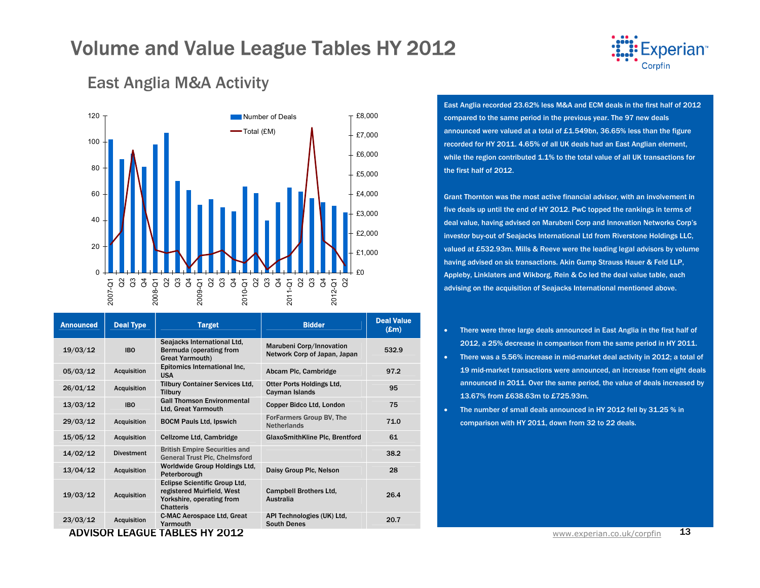

### East Anglia M&A Activity



| <b>Announced</b> | <b>Deal Type</b>   | <b>Target</b>                                                                                                       | <b>Bidder</b>                                            | <b>Deal Value</b><br>$(\pmb{\pounds} \mathbf{m})$ |
|------------------|--------------------|---------------------------------------------------------------------------------------------------------------------|----------------------------------------------------------|---------------------------------------------------|
| 19/03/12         | <b>IBO</b>         | Seajacks International Ltd.<br>Bermuda (operating from<br><b>Great Yarmouth)</b>                                    | Marubeni Corp/Innovation<br>Network Corp of Japan, Japan | 532.9                                             |
| 05/03/12         | <b>Acquisition</b> | Epitomics International Inc.<br><b>USA</b>                                                                          | Abcam Plc, Cambridge                                     | 97.2                                              |
| 26/01/12         | <b>Acquisition</b> | <b>Tilbury Container Services Ltd,</b><br><b>Tilbury</b>                                                            | Otter Ports Holdings Ltd.<br>Cayman Islands              | 95                                                |
| 13/03/12         | <b>IBO</b>         | <b>Gall Thomson Environmental</b><br><b>Ltd. Great Yarmouth</b>                                                     | Copper Bidco Ltd, London                                 | 75                                                |
| 29/03/12         | <b>Acquisition</b> | <b>BOCM Pauls Ltd. Ipswich</b>                                                                                      | <b>ForFarmers Group BV, The</b><br><b>Netherlands</b>    | 71.0                                              |
| 15/05/12         | <b>Acquisition</b> | Cellzome Ltd, Cambridge                                                                                             | GlaxoSmithKline Plc, Brentford                           | 61                                                |
| 14/02/12         | <b>Divestment</b>  | <b>British Empire Securities and</b><br><b>General Trust Plc, Chelmsford</b>                                        |                                                          | 38.2                                              |
| 13/04/12         | <b>Acquisition</b> | Worldwide Group Holdings Ltd.<br>Peterborough                                                                       | Daisy Group Plc, Nelson                                  | 28                                                |
| 19/03/12         | <b>Acquisition</b> | <b>Eclipse Scientific Group Ltd.</b><br>registered Muirfield, West<br>Yorkshire, operating from<br><b>Chatteris</b> | <b>Campbell Brothers Ltd.</b><br>Australia               | 26.4                                              |
| 23/03/12         | <b>Acquisition</b> | <b>C-MAC Aerospace Ltd, Great</b><br>Yarmouth<br>$\lambda$ rwcar i facuf tabl ce uv gało                            | API Technologies (UK) Ltd,<br><b>South Denes</b>         | 20.7                                              |

ADVISOR LEAGUE TABLES HY 2012

East Anglia recorded 23.62% less M&A and ECM deals in the first half of 2012 compared to the same period in the previous year. The 97 new deals announced were valued at a total of £1.549bn, 36.65% less than the figure recorded for HY 2011. 4.65% of all UK deals had an East Anglian element, while the region contributed 1.1% to the total value of all UK transactions for the first half of 2012.

Grant Thornton was the most active financial advisor, with an involvement in five deals up until the end of HY 2012. PwC topped the rankings in terms of deal value, having advised on Marubeni Corp and Innovation Networks Corp's investor buy-out of Seajacks International Ltd from Riverstone Holdings LLC, valued at £532.93m. Mills & Reeve were the leading legal advisors by volume having advised on six transactions. Akin Gump Strauss Hauer & Feld LLP, Appleby, Linklaters and Wikborg, Rein & Co led the deal value table, each advising on the acquisition of Seajacks International mentioned above.

- • There were three large deals announced in East Anglia in the first half of 2012, a 25% decrease in comparison from the same period in HY 2011.
- There was a 5.56% increase in mid-market deal activity in 2012; a total of 19 mid-market transactions were announced, an increase from eight deals announced in 2011. Over the same period, the value of deals increased by 13.67% from £638.63m to £725.93m.
- The number of small deals announced in HY 2012 fell by 31.25 % in comparison with HY 2011, down from 32 to 22 deals.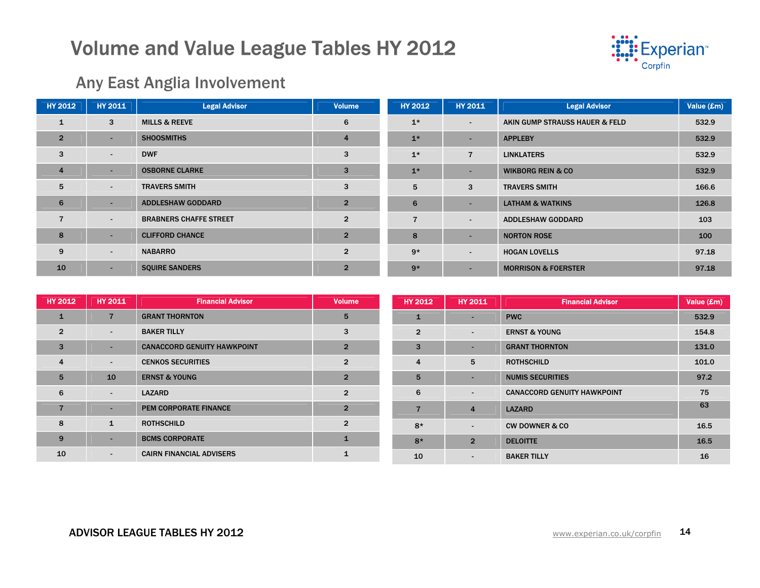

### Any East Anglia Involvement

| <b>HY 2012</b> |                | <b>HY 2011</b> | <b>Legal Advisor</b>          | <b>Volume</b>  | <b>HY 2012</b> | <b>HY 2011</b>           | <b>Legal Advisor</b>           | Value (£m) |
|----------------|----------------|----------------|-------------------------------|----------------|----------------|--------------------------|--------------------------------|------------|
|                | ı              | 3              | <b>MILLS &amp; REEVE</b>      | 6              | $1*$           | $\sim$                   | AKIN GUMP STRAUSS HAUER & FELD | 532.9      |
|                | $\overline{2}$ | ۰              | <b>SHOOSMITHS</b>             | $\overline{4}$ | $1*$           |                          | <b>APPLEBY</b>                 | 532.9      |
|                | 3              | $\blacksquare$ | <b>DWF</b>                    | 3              | $1*$           | 7                        | <b>LINKLATERS</b>              | 532.9      |
|                | 4              | ۰              | <b>OSBORNE CLARKE</b>         | 3              | $1*$           |                          | <b>WIKBORG REIN &amp; CO</b>   | 532.9      |
|                | 5              | $\sim$         | <b>TRAVERS SMITH</b>          | 3              | 5              | 3                        | <b>TRAVERS SMITH</b>           | 166.6      |
|                | 6              | ÷.             | <b>ADDLESHAW GODDARD</b>      | $\overline{2}$ | 6              | ۰                        | <b>LATHAM &amp; WATKINS</b>    | 126.8      |
|                | $\overline{7}$ | $\sim$         | <b>BRABNERS CHAFFE STREET</b> | $\overline{2}$ | $\overline{7}$ | ٠                        | <b>ADDLESHAW GODDARD</b>       | 103        |
|                | 8              | ۰.             | <b>CLIFFORD CHANCE</b>        | $\overline{2}$ | 8              |                          | <b>NORTON ROSE</b>             | 100        |
|                | 9              | $\sim$         | <b>NABARRO</b>                | $\overline{2}$ | $9*$           | $\overline{\phantom{a}}$ | <b>HOGAN LOVELLS</b>           | 97.18      |
|                | 10             | ٠              | <b>SQUIRE SANDERS</b>         | $\overline{2}$ | $9*$           | ۰.                       | <b>MORRISON &amp; FOERSTER</b> | 97.18      |

| <b>HY 2012</b>  | <b>HY 2011</b>           | <b>Financial Advisor</b>           | <b>Volume</b>  | HY 2012        | <b>HY 2011</b>           | <b>Financial Advisor</b>           | Value (£m) |
|-----------------|--------------------------|------------------------------------|----------------|----------------|--------------------------|------------------------------------|------------|
| 1               | $\overline{7}$           | <b>GRANT THORNTON</b>              | 5              |                | $\overline{\phantom{0}}$ | <b>PWC</b>                         | 532.9      |
| $\overline{2}$  | $\sim$                   | <b>BAKER TILLY</b>                 | 3              | $\overline{2}$ | $\overline{\phantom{0}}$ | <b>ERNST &amp; YOUNG</b>           | 154.8      |
| $\overline{3}$  | $\overline{\phantom{a}}$ | <b>CANACCORD GENUITY HAWKPOINT</b> | $\overline{2}$ | 3              | $\overline{\phantom{a}}$ | <b>GRANT THORNTON</b>              | 131.0      |
| $\overline{4}$  | $\sim$                   | <b>CENKOS SECURITIES</b>           | $\overline{2}$ | 4              | 5                        | <b>ROTHSCHILD</b>                  | 101.0      |
| $5\overline{5}$ | 10                       | <b>ERNST &amp; YOUNG</b>           | $\overline{2}$ | 5              | $\overline{\phantom{a}}$ | <b>NUMIS SECURITIES</b>            | 97.2       |
| 6               | $\overline{\phantom{a}}$ | <b>LAZARD</b>                      | $\overline{2}$ | 6              | $\sim$                   | <b>CANACCORD GENUITY HAWKPOINT</b> | 75         |
| $\overline{7}$  | $\overline{\phantom{a}}$ | PEM CORPORATE FINANCE              | $\overline{2}$ | 7              | $\overline{4}$           | <b>LAZARD</b>                      | 63         |
| 8               | $\mathbf{1}$             | <b>ROTHSCHILD</b>                  | $\overline{2}$ | $8*$           | $\overline{a}$           | <b>CW DOWNER &amp; CO</b>          | 16.5       |
| 9               | $\overline{\phantom{a}}$ | <b>BCMS CORPORATE</b>              | $\mathbf 1$    | $8*$           | $\overline{2}$           | <b>DELOITTE</b>                    | 16.5       |
| 10              | $\sim$                   | <b>CAIRN FINANCIAL ADVISERS</b>    |                | 10             | $\sim$                   | <b>BAKER TILLY</b>                 | 16         |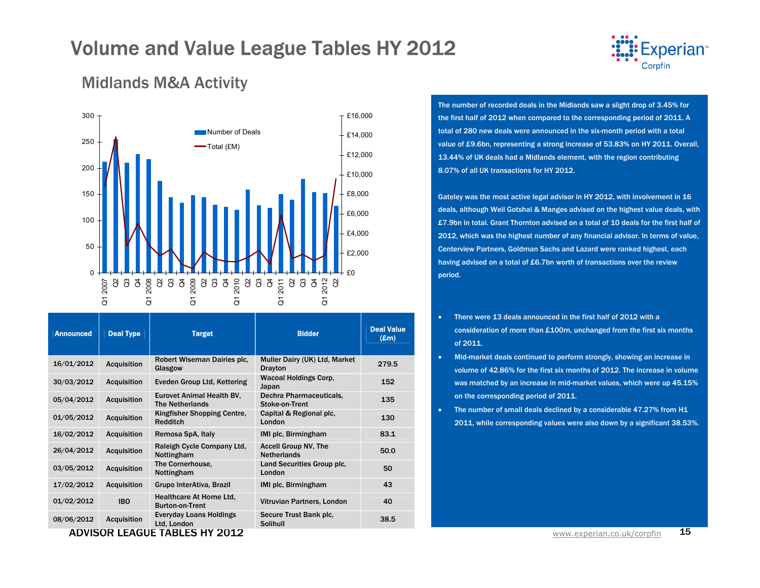

### Midlands M&A Activity



| <b>Announced</b> | <b>Deal Type</b>   | <b>Target</b>                                            | <b>Bidder</b>                                     | <b>Deal Value</b><br>$(\mathbf{Em})$ |
|------------------|--------------------|----------------------------------------------------------|---------------------------------------------------|--------------------------------------|
| 16/01/2012       | <b>Acquisition</b> | Robert Wiseman Dairies plc.<br>Glasgow                   | Muller Dairy (UK) Ltd, Market<br><b>Drayton</b>   | 279.5                                |
| 30/03/2012       | <b>Acquisition</b> | Eveden Group Ltd, Kettering                              | <b>Wacoal Holdings Corp,</b><br>Japan             | 152                                  |
| 05/04/2012       | <b>Acquisition</b> | Eurovet Animal Health BV,<br><b>The Netherlands</b>      | Dechra Pharmaceuticals,<br>Stoke-on-Trent         | 135                                  |
| 01/05/2012       | <b>Acquisition</b> | Kingfisher Shopping Centre,<br><b>Redditch</b>           | Capital & Regional plc,<br>London                 | 130                                  |
| 16/02/2012       | <b>Acquisition</b> | Remosa SpA, Italy                                        | IMI plc, Birmingham                               | 83.1                                 |
| 26/04/2012       | <b>Acquisition</b> | Raleigh Cycle Company Ltd,<br>Nottingham                 | <b>Accell Group NV, The</b><br><b>Netherlands</b> | 50.0                                 |
| 03/05/2012       | <b>Acquisition</b> | The Cornerhouse,<br>Nottingham                           | Land Securities Group plc,<br>London              | 50                                   |
| 17/02/2012       | <b>Acquisition</b> | Grupo InterAtiva, Brazil                                 | IMI plc, Birmingham                               | 43                                   |
| 01/02/2012       | <b>IBO</b>         | <b>Healthcare At Home Ltd.</b><br><b>Burton-on-Trent</b> | Vitruvian Partners, London                        | 40                                   |
| 08/06/2012       | <b>Acquisition</b> | <b>Everyday Loans Holdings</b><br>Ltd, London            | Secure Trust Bank plc.<br>Solihull                | 38.5                                 |
|                  |                    | ADVISOR LEAGUE TABLES HY 2012                            |                                                   |                                      |

The number of recorded deals in the Midlands saw a slight drop of 3.45% for the first half of 2012 when compared to the corresponding period of 2011. A total of 280 new deals were announced in the six-month period with a total value of £9.6bn, representing a strong increase of 53.83% on HY 2011. Overall, 13.44% of UK deals had a Midlands element, with the region contributing 8.07% of all UK transactions for HY 2012.

Gateley was the most active legal advisor in HY 2012, with involvement in 16 deals, although Weil Gotshal & Manges advised on the highest value deals, with £7.9bn in total. Grant Thornton advised on a total of 10 deals for the first half of 2012, which was the highest number of any financial advisor. In terms of value, Centerview Partners, Goldman Sachs and Lazard were ranked highest, each having advised on a total of £6.7bn worth of transactions over the review period.

- There were 13 deals announced in the first half of 2012 with a consideration of more than £100m, unchanged from the first six months of 2011.
- Mid-market deals continued to perform strongly, showing an increase in volume of 42.86% for the first six months of 2012. The increase in volume was matched by an increase in mid-market values, which were up 45.15% on the corresponding period of 2011.
- The number of small deals declined by a considerable 47.27% from H1 2011, while corresponding values were also down by a significant 38.53%.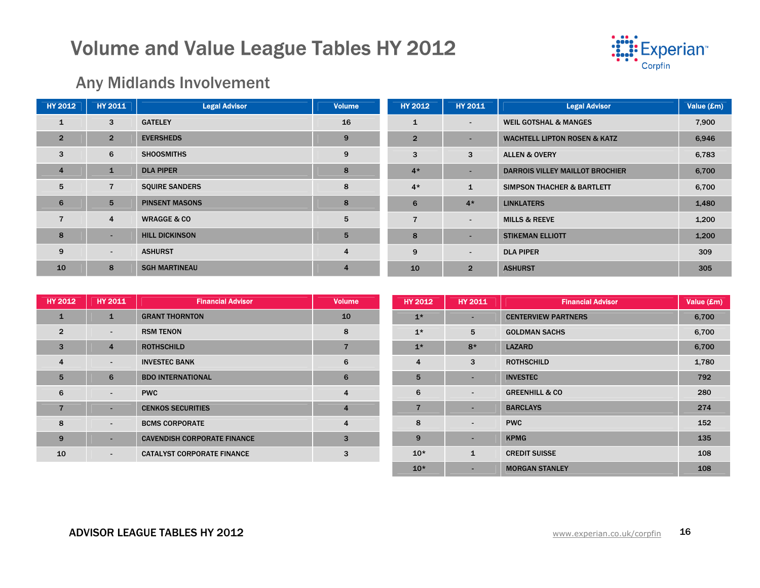

### Any Midlands Involvement

| <b>HY 2012</b> | <b>HY 2011</b> | <b>Legal Advisor</b>   | <b>Volume</b>  | <b>HY 2012</b> | <b>HY 2011</b> | <b>Legal Advisor</b>                    | Value (£m) |
|----------------|----------------|------------------------|----------------|----------------|----------------|-----------------------------------------|------------|
| $\mathbf{1}$   | 3              | <b>GATELEY</b>         | 16             | $\mathbf{1}$   | $\sim$         | <b>WEIL GOTSHAL &amp; MANGES</b>        | 7,900      |
| $\overline{2}$ | $\overline{2}$ | <b>EVERSHEDS</b>       | 9              | $\overline{2}$ |                | <b>WACHTELL LIPTON ROSEN &amp; KATZ</b> | 6,946      |
| 3              | 6              | <b>SHOOSMITHS</b>      | 9              | 3              | 3              | <b>ALLEN &amp; OVERY</b>                | 6,783      |
| $\overline{4}$ | $\mathbf{1}$   | <b>DLA PIPER</b>       | 8              | $4*$           | -              | <b>DARROIS VILLEY MAILLOT BROCHIER</b>  | 6,700      |
| 5              | $\overline{7}$ | <b>SQUIRE SANDERS</b>  | 8              | $4*$           | $\mathbf{1}$   | <b>SIMPSON THACHER &amp; BARTLETT</b>   | 6,700      |
| 6              | 5              | <b>PINSENT MASONS</b>  | 8              | 6              | $4*$           | <b>LINKLATERS</b>                       | 1,480      |
| $\overline{7}$ | 4              | <b>WRAGGE &amp; CO</b> | 5              | 7              | ۰.             | <b>MILLS &amp; REEVE</b>                | 1,200      |
| 8              | ۰.             | <b>HILL DICKINSON</b>  | 5              | 8              | -              | <b>STIKEMAN ELLIOTT</b>                 | 1,200      |
| 9              | $\sim$         | <b>ASHURST</b>         | $\overline{4}$ | 9              | ۰.             | <b>DLA PIPER</b>                        | 309        |
| 10             | 8              | <b>SGH MARTINEAU</b>   | $\overline{4}$ | 10             | $\overline{2}$ | <b>ASHURST</b>                          | 305        |

| <b>HY 2012</b>  | <b>HY 2011</b>           | <b>Financial Advisor</b>           | <b>Volume</b>           | <b>HY 2012</b> | <b>HY 2011</b>           | <b>Financial Advisor</b>   | Value (£m) |
|-----------------|--------------------------|------------------------------------|-------------------------|----------------|--------------------------|----------------------------|------------|
| $\mathbf{1}$    | $\mathbf{1}$             | <b>GRANT THORNTON</b>              | 10                      | $1*$           | ۰                        | <b>CENTERVIEW PARTNERS</b> | 6,700      |
| $\overline{2}$  | $\sim$                   | <b>RSM TENON</b>                   | 8                       | $1*$           | 5                        | <b>GOLDMAN SACHS</b>       | 6,700      |
| $\mathbf{3}$    | $\overline{4}$           | <b>ROTHSCHILD</b>                  | 7                       | $1*$           | $8*$                     | <b>LAZARD</b>              | 6,700      |
| $\overline{4}$  | $\overline{\phantom{a}}$ | <b>INVESTEC BANK</b>               | 6                       | 4              | 3                        | <b>ROTHSCHILD</b>          | 1,780      |
| $5\overline{5}$ | 6                        | <b>BDO INTERNATIONAL</b>           | 6                       | 5              | ۰                        | <b>INVESTEC</b>            | 792        |
| 6               | $\sim$                   | <b>PWC</b>                         | 4                       | 6              | $\overline{\phantom{0}}$ | <b>GREENHILL &amp; CO</b>  | 280        |
| 7               | $\overline{\phantom{a}}$ | <b>CENKOS SECURITIES</b>           | $\overline{4}$          | $\overline{7}$ | -                        | <b>BARCLAYS</b>            | 274        |
| 8               | $\sim$                   | <b>BCMS CORPORATE</b>              | $\overline{\mathbf{4}}$ | 8              | $\overline{\phantom{a}}$ | <b>PWC</b>                 | 152        |
| 9               |                          | <b>CAVENDISH CORPORATE FINANCE</b> | 3                       | 9              | ۰                        | <b>KPMG</b>                | 135        |
| 10              | $\sim$                   | <b>CATALYST CORPORATE FINANCE</b>  | 3                       | $10*$          | $\mathbf{1}$             | <b>CREDIT SUISSE</b>       | 108        |
|                 |                          |                                    |                         | $10*$          | ۰                        | <b>MORGAN STANLEY</b>      | 108        |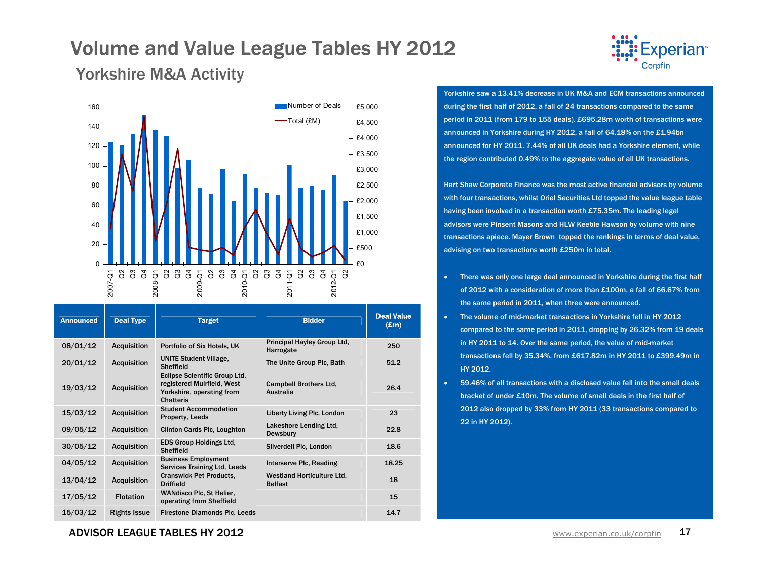

### Yorkshire M&A Activity



| <b>Announced</b> | <b>Deal Type</b>    | <b>Target</b>                                                                                                       | <b>Bidder</b>                                       | <b>Deal Value</b><br>$(\pmb{\pounds} \mathbf{m})$ |
|------------------|---------------------|---------------------------------------------------------------------------------------------------------------------|-----------------------------------------------------|---------------------------------------------------|
| 08/01/12         | <b>Acquisition</b>  | Portfolio of Six Hotels, UK                                                                                         | Principal Hayley Group Ltd,<br>Harrogate            | 250                                               |
| 20/01/12         | <b>Acquisition</b>  | <b>UNITE Student Village,</b><br><b>Sheffield</b>                                                                   | The Unite Group Plc, Bath                           | 51.2                                              |
| 19/03/12         | <b>Acquisition</b>  | <b>Eclipse Scientific Group Ltd,</b><br>registered Muirfield, West<br>Yorkshire, operating from<br><b>Chatteris</b> | <b>Campbell Brothers Ltd.</b><br>Australia          | 26.4                                              |
| 15/03/12         | <b>Acquisition</b>  | <b>Student Accommodation</b><br>Property, Leeds                                                                     | <b>Liberty Living Plc, London</b>                   | 23                                                |
| 09/05/12         | <b>Acquisition</b>  | <b>Clinton Cards Plc, Loughton</b>                                                                                  | Lakeshore Lending Ltd,<br><b>Dewsbury</b>           | 22.8                                              |
| 30/05/12         | <b>Acquisition</b>  | <b>EDS Group Holdings Ltd.</b><br><b>Sheffield</b>                                                                  | Silverdell Plc, London                              | 18.6                                              |
| 04/05/12         | <b>Acquisition</b>  | <b>Business Employment</b><br><b>Services Training Ltd, Leeds</b>                                                   | Interserve Plc, Reading                             | 18.25                                             |
| 13/04/12         | <b>Acquisition</b>  | <b>Cranswick Pet Products,</b><br><b>Driffield</b>                                                                  | <b>Westland Horticulture Ltd.</b><br><b>Belfast</b> | 18                                                |
| 17/05/12         | <b>Flotation</b>    | <b>WANdisco Plc, St Helier,</b><br>operating from Sheffield                                                         |                                                     | 15                                                |
| 15/03/12         | <b>Rights Issue</b> | <b>Firestone Diamonds Plc, Leeds</b>                                                                                |                                                     | 14.7                                              |

Yorkshire saw a 13.41% decrease in UK M&A and ECM transactions announced during the first half of 2012, a fall of 24 transactions compared to the same period in 2011 (from 179 to 155 deals). £695.28m worth of transactions were announced in Yorkshire during HY 2012, a fall of 64.18% on the £1.94bn announced for HY 2011. 7.44% of all UK deals had a Yorkshire element, while the region contributed 0.49% to the aggregate value of all UK transactions.

Hart Shaw Corporate Finance was the most active financial advisors by volume with four transactions, whilst Oriel Securities Ltd topped the value league table having been involved in a transaction worth £75.35m. The leading legal advisors were Pinsent Masons and HLW Keeble Hawson by volume with nine transactions apiece. Mayer Brown topped the rankings in terms of deal value, advising on two transactions worth £250m in total.

- There was only one large deal announced in Yorkshire during the first half of 2012 with a consideration of more than £100m, a fall of 66.67% from the same period in 2011, when three were announced.
- The volume of mid-market transactions in Yorkshire fell in HY 2012 compared to the same period in 2011, dropping by 26.32% from 19 deals in HY 2011 to 14. Over the same period, the value of mid-market transactions fell by 35.34%, from £617.82m in HY 2011 to £399.49m in HY 2012.
- 59.46% of all transactions with a disclosed value fell into the small deals bracket of under £10m. The volume of small deals in the first half of 2012 also dropped by 33% from HY 2011 (33 transactions compared to 22 in HY 2012).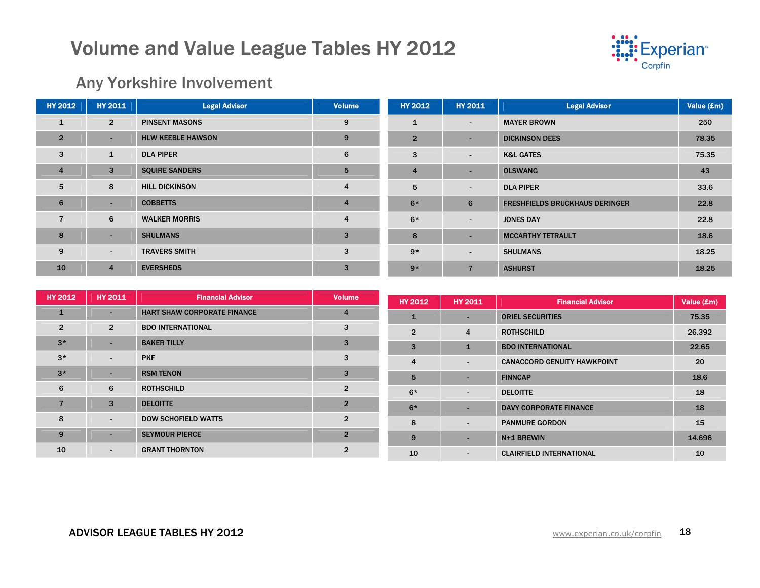

### Any Yorkshire Involvement

| <b>HY 2012</b> | <b>HY 2011</b> | <b>Legal Advisor</b>     | <b>Volume</b>           | <b>HY 2012</b> | <b>HY 2011</b> | <b>Legal Advisor</b>                  | Value (£m) |
|----------------|----------------|--------------------------|-------------------------|----------------|----------------|---------------------------------------|------------|
| $\mathbf{1}$   | $\overline{2}$ | <b>PINSENT MASONS</b>    | 9                       |                | ۰.             | <b>MAYER BROWN</b>                    | 250        |
| $\overline{2}$ | н.             | <b>HLW KEEBLE HAWSON</b> | 9                       | $\overline{2}$ |                | <b>DICKINSON DEES</b>                 | 78.35      |
| 3              | $\mathbf{1}$   | <b>DLA PIPER</b>         | 6                       | 3              | $\sim$         | <b>K&amp;L GATES</b>                  | 75.35      |
| $\overline{4}$ | 3              | <b>SQUIRE SANDERS</b>    | 5                       | 4              | ۰.             | <b>OLSWANG</b>                        | 43         |
| 5              | 8              | <b>HILL DICKINSON</b>    | $\overline{\mathbf{4}}$ | 5              | $\sim$         | <b>DLA PIPER</b>                      | 33.6       |
| 6              | $\sim$         | <b>COBBETTS</b>          | $\overline{4}$          | $6*$           | 6              | <b>FRESHFIELDS BRUCKHAUS DERINGER</b> | 22.8       |
| $\overline{7}$ | 6              | <b>WALKER MORRIS</b>     | $\overline{\mathbf{4}}$ | $6*$           | ٠              | <b>JONES DAY</b>                      | 22.8       |
| 8              | ۰.             | <b>SHULMANS</b>          | 3                       | 8              |                | <b>MCCARTHY TETRAULT</b>              | 18.6       |
| 9              | $\sim$         | <b>TRAVERS SMITH</b>     | 3                       | $9*$           | ۰.             | <b>SHULMANS</b>                       | 18.25      |
| 10             | $\overline{4}$ | <b>EVERSHEDS</b>         | 3                       | $9*$           | $\overline{7}$ | <b>ASHURST</b>                        | 18.25      |

| <b>HY 2012</b> | <b>HY 2011</b>           | <b>Financial Advisor</b>           | <b>Volume</b>  |                |                          |                                    |            |
|----------------|--------------------------|------------------------------------|----------------|----------------|--------------------------|------------------------------------|------------|
|                |                          |                                    |                | HY 2012        | HY 2011                  | <b>Financial Advisor</b>           | Value (£m) |
| $\mathbf{1}$   | ٠                        | <b>HART SHAW CORPORATE FINANCE</b> | $\overline{4}$ |                |                          | <b>ORIEL SECURITIES</b>            | 75.35      |
| $\overline{2}$ | $\overline{2}$           | <b>BDO INTERNATIONAL</b>           | 3              | $\overline{2}$ | $\overline{4}$           | <b>ROTHSCHILD</b>                  | 26.392     |
| $3*$           | ٠                        | <b>BAKER TILLY</b>                 | 3              | 3              | 1                        | <b>BDO INTERNATIONAL</b>           | 22.65      |
| $3*$           | $\blacksquare$           | <b>PKF</b>                         | 3              | 4              | $\sim$                   | <b>CANACCORD GENUITY HAWKPOINT</b> | 20         |
| $3*$           | ٠                        | <b>RSM TENON</b>                   | 3              | 5              | $\overline{\phantom{0}}$ | <b>FINNCAP</b>                     | 18.6       |
| 6              | 6                        | <b>ROTHSCHILD</b>                  | $\overline{2}$ | $6*$           | $\sim$                   | <b>DELOITTE</b>                    | 18         |
|                | 3                        | <b>DELOITTE</b>                    | $\overline{2}$ | $6*$           |                          | <b>DAVY CORPORATE FINANCE</b>      | 18         |
| 8              | $\overline{\phantom{a}}$ | <b>DOW SCHOFIELD WATTS</b>         | $\overline{2}$ | 8              | $\sim$                   | <b>PANMURE GORDON</b>              | 15         |
| 9              | $\overline{\phantom{a}}$ | <b>SEYMOUR PIERCE</b>              | $\overline{2}$ | 9              | ۰.                       | N+1 BREWIN                         | 14.696     |
| 10             | $\blacksquare$           | <b>GRANT THORNTON</b>              | $\overline{2}$ | 10             |                          | <b>CLAIRFIELD INTERNATIONAL</b>    | 10         |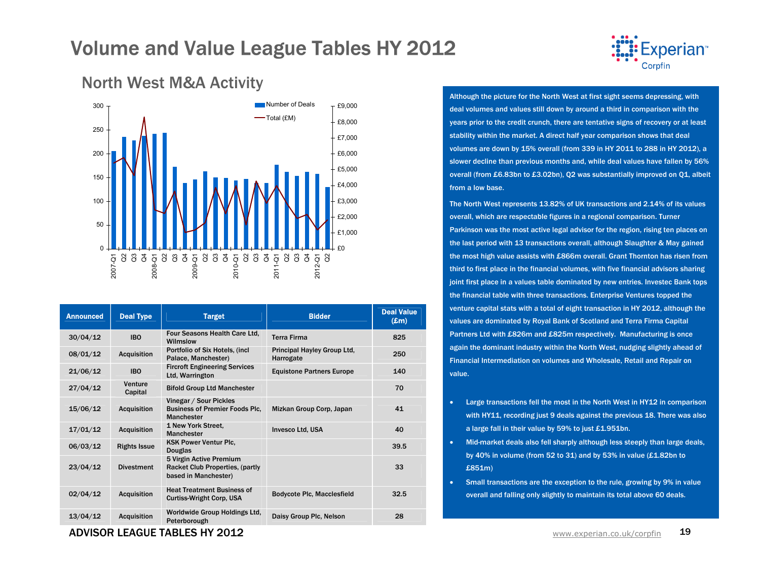



| <b>Announced</b> | <b>Deal Type</b>    | <b>Target</b>                                                                              | <b>Bidder</b>                            | <b>Deal Value</b><br>$(\pmb{\pounds} \mathbf{m})$ |
|------------------|---------------------|--------------------------------------------------------------------------------------------|------------------------------------------|---------------------------------------------------|
| 30/04/12         | <b>IBO</b>          | Four Seasons Health Care Ltd.<br>Wilmslow                                                  | <b>Terra Firma</b>                       | 825                                               |
| 08/01/12         | <b>Acquisition</b>  | Portfolio of Six Hotels, (incl.<br>Palace, Manchester)                                     | Principal Hayley Group Ltd,<br>Harrogate | 250                                               |
| 21/06/12         | <b>IBO</b>          | <b>Fircroft Engineering Services</b><br>Ltd, Warrington                                    | <b>Equistone Partners Europe</b>         | 140                                               |
| 27/04/12         | Venture<br>Capital  | <b>Bifold Group Ltd Manchester</b>                                                         |                                          | 70                                                |
| 15/06/12         | <b>Acquisition</b>  | Vinegar / Sour Pickles<br><b>Business of Premier Foods Plc.</b><br><b>Manchester</b>       | Mizkan Group Corp, Japan                 | 41                                                |
| 17/01/12         | <b>Acquisition</b>  | 1 New York Street.<br><b>Manchester</b>                                                    | <b>Invesco Ltd, USA</b>                  | 40                                                |
| 06/03/12         | <b>Rights Issue</b> | <b>KSK Power Ventur Plc.</b><br><b>Douglas</b>                                             |                                          | 39.5                                              |
| 23/04/12         | <b>Divestment</b>   | 5 Virgin Active Premium<br><b>Racket Club Properties, (partly)</b><br>based in Manchester) |                                          | 33                                                |
| 02/04/12         | <b>Acquisition</b>  | <b>Heat Treatment Business of</b><br><b>Curtiss-Wright Corp, USA</b>                       | <b>Bodycote Plc, Macclesfield</b>        | 32.5                                              |
| 13/04/12         | <b>Acquisition</b>  | Worldwide Group Holdings Ltd.<br>Peterborough                                              | Daisy Group Plc, Nelson                  | 28                                                |

### North West M&A Activity

ADVISOR LEAGUE TABLES HY 2012

Although the picture for the North West at first sight seems depressing, with deal volumes and values still down by around a third in comparison with the years prior to the credit crunch, there are tentative signs of recovery or at least stability within the market. A direct half year comparison shows that deal volumes are down by 15% overall (from 339 in HY 2011 to 288 in HY 2012), a slower decline than previous months and, while deal values have fallen by 56% overall (from £6.83bn to £3.02bn), Q2 was substantially improved on Q1, albeit from a low base.

The North West represents 13.82% of UK transactions and 2.14% of its values overall, which are respectable figures in a regional comparison. Turner Parkinson was the most active legal advisor for the region, rising ten places on the last period with 13 transactions overall, although Slaughter & May gained the most high value assists with £866m overall. Grant Thornton has risen from third to first place in the financial volumes, with five financial advisors sharing joint first place in a values table dominated by new entries. Investec Bank tops the financial table with three transactions. Enterprise Ventures topped the venture capital stats with a total of eight transaction in HY 2012, although the values are dominated by Royal Bank of Scotland and Terra Firma Capital Partners Ltd with £826m and £825m respectively. Manufacturing is once again the dominant industry within the North West, nudging slightly ahead of Financial Intermediation on volumes and Wholesale, Retail and Repair on value.

- Large transactions fell the most in the North West in HY12 in comparison with HY11, recording just 9 deals against the previous 18. There was also a large fall in their value by 59% to just £1.951bn.
- Mid-market deals also fell sharply although less steeply than large deals, by 40% in volume (from 52 to 31) and by 53% in value (£1.82bn to £851m)
- Small transactions are the exception to the rule, growing by 9% in value overall and falling only slightly to maintain its total above 60 deals.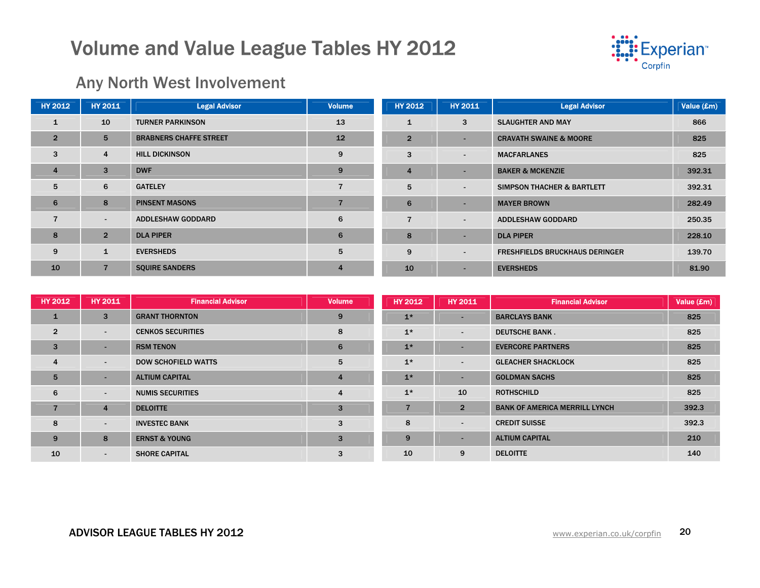

### Any North West Involvement

| <b>HY 2012</b> | <b>HY 2011</b> | <b>Legal Advisor</b>          | Volume         | <b>HY 2012</b> | <b>HY 2011</b>           | <b>Legal Advisor</b>                  | Value (£m) |
|----------------|----------------|-------------------------------|----------------|----------------|--------------------------|---------------------------------------|------------|
| $\mathbf{1}$   | 10             | <b>TURNER PARKINSON</b>       | 13             |                | 3                        | <b>SLAUGHTER AND MAY</b>              | 866        |
| $\overline{2}$ | 5              | <b>BRABNERS CHAFFE STREET</b> | 12             | $\overline{2}$ |                          | <b>CRAVATH SWAINE &amp; MOORE</b>     | 825        |
| 3              | $\overline{4}$ | <b>HILL DICKINSON</b>         | 9              | 3              | $\sim$                   | <b>MACFARLANES</b>                    | 825        |
| $\overline{4}$ | 3              | <b>DWF</b>                    | 9              |                |                          | <b>BAKER &amp; MCKENZIE</b>           | 392.31     |
| 5              | 6              | <b>GATELEY</b>                |                | 5              | $\sim$                   | <b>SIMPSON THACHER &amp; BARTLETT</b> | 392.31     |
| 6              | 8              | <b>PINSENT MASONS</b>         |                | 6              |                          | <b>MAYER BROWN</b>                    | 282.49     |
| $\overline{7}$ | $\sim$         | <b>ADDLESHAW GODDARD</b>      | 6              |                | $\overline{\phantom{0}}$ | <b>ADDLESHAW GODDARD</b>              | 250.35     |
| 8              | $\overline{2}$ | <b>DLA PIPER</b>              | 6              | 8              |                          | <b>DLA PIPER</b>                      | 228.10     |
| 9              | $\mathbf{1}$   | <b>EVERSHEDS</b>              | 5              | 9              | $\overline{\phantom{0}}$ | <b>FRESHFIELDS BRUCKHAUS DERINGER</b> | 139.70     |
| 10             | $\overline{7}$ | <b>SQUIRE SANDERS</b>         | $\overline{4}$ | 10             |                          | <b>EVERSHEDS</b>                      | 81.90      |

| HY 2012        | <b>HY 2011</b>           | <b>Financial Advisor</b>   | <b>Volume</b>           | <b>HY 2012</b> | <b>HY 2011</b> | <b>Financial Advisor</b>             | Value (£m) |
|----------------|--------------------------|----------------------------|-------------------------|----------------|----------------|--------------------------------------|------------|
| 1              | 3                        | <b>GRANT THORNTON</b>      | 9                       | $1*$           |                | <b>BARCLAYS BANK</b>                 | 825        |
| $\overline{2}$ | $\blacksquare$           | <b>CENKOS SECURITIES</b>   | 8                       | $1*$           | $\sim$         | <b>DEUTSCHE BANK.</b>                | 825        |
| 3              | $\overline{\phantom{a}}$ | <b>RSM TENON</b>           | 6                       | $1*$           |                | <b>EVERCORE PARTNERS</b>             | 825        |
| $\overline{4}$ | $\blacksquare$           | <b>DOW SCHOFIELD WATTS</b> | 5                       | $1*$           | $\blacksquare$ | <b>GLEACHER SHACKLOCK</b>            | 825        |
| 5              | $\overline{\phantom{a}}$ | <b>ALTIUM CAPITAL</b>      | $\overline{4}$          | $1*$           |                | <b>GOLDMAN SACHS</b>                 | 825        |
| 6              | $\blacksquare$           | <b>NUMIS SECURITIES</b>    | $\overline{\mathbf{4}}$ | $1*$           | 10             | <b>ROTHSCHILD</b>                    | 825        |
| $\overline{7}$ | 4                        | <b>DELOITTE</b>            | 3                       |                | $\overline{2}$ | <b>BANK OF AMERICA MERRILL LYNCH</b> | 392.3      |
| 8              | $\blacksquare$           | <b>INVESTEC BANK</b>       | 3                       | 8              | $\blacksquare$ | <b>CREDIT SUISSE</b>                 | 392.3      |
| 9              | 8                        | <b>ERNST &amp; YOUNG</b>   | 3                       | 9              | -              | <b>ALTIUM CAPITAL</b>                | 210        |
| 10             | $\overline{\phantom{a}}$ | <b>SHORE CAPITAL</b>       | 3                       | 10             | 9              | <b>DELOITTE</b>                      | 140        |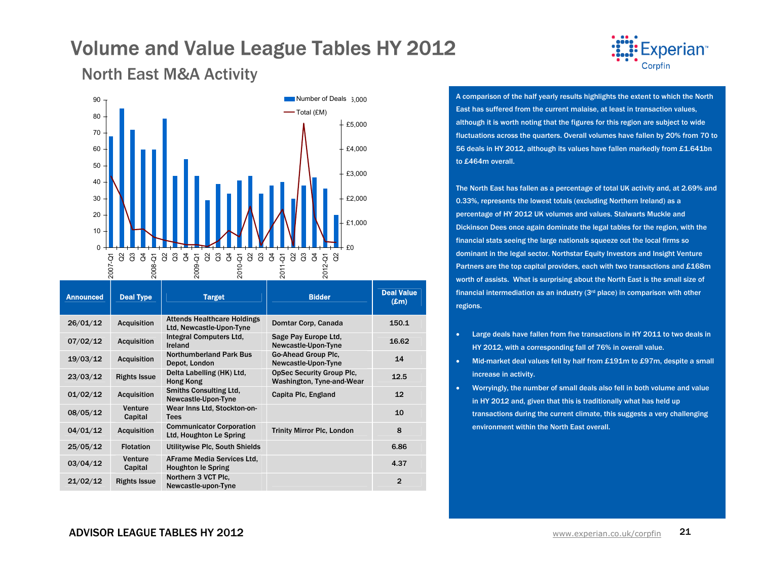

North East M&A Activity



| <b>Announced</b> | <b>Deal Type</b>    | <b>Target</b>                                                  | <b>Bidder</b>                                                 | <b>Deal Value</b><br>$(\mathbf{E}\mathbf{m})$ |
|------------------|---------------------|----------------------------------------------------------------|---------------------------------------------------------------|-----------------------------------------------|
| 26/01/12         | <b>Acquisition</b>  | <b>Attends Healthcare Holdings</b><br>Ltd, Newcastle-Upon-Tyne | Domtar Corp, Canada                                           | 150.1                                         |
| 07/02/12         | <b>Acquisition</b>  | Integral Computers Ltd.<br>Ireland                             | Sage Pay Europe Ltd.<br>Newcastle-Upon-Tyne                   | 16.62                                         |
| 19/03/12         | <b>Acquisition</b>  | <b>Northumberland Park Bus</b><br>Depot, London                | Go-Ahead Group Plc.<br>Newcastle-Upon-Tyne                    | 14                                            |
| 23/03/12         | <b>Rights Issue</b> | Delta Labelling (HK) Ltd.<br>Hong Kong                         | <b>OpSec Security Group Plc.</b><br>Washington, Tyne-and-Wear | 12.5                                          |
| 01/02/12         | <b>Acquisition</b>  | <b>Smiths Consulting Ltd.</b><br>Newcastle-Upon-Tyne           | Capita Plc, England                                           | 12                                            |
| 08/05/12         | Venture<br>Capital  | Wear Inns Ltd, Stockton-on-<br><b>Tees</b>                     |                                                               | 10                                            |
| 04/01/12         | <b>Acquisition</b>  | <b>Communicator Corporation</b><br>Ltd, Houghton Le Spring     | <b>Trinity Mirror Plc, London</b>                             | 8                                             |
| 25/05/12         | <b>Flotation</b>    | Utilitywise Plc, South Shields                                 |                                                               | 6.86                                          |
| 03/04/12         | Venture<br>Capital  | AFrame Media Services Ltd.<br><b>Houghton le Spring</b>        |                                                               | 4.37                                          |
| 21/02/12         | <b>Rights Issue</b> | Northern 3 VCT Plc.<br>Newcastle-upon-Tyne                     |                                                               | $\mathbf{2}$                                  |

A comparison of the half yearly results highlights the extent to which the North East has suffered from the current malaise, at least in transaction values, although it is worth noting that the figures for this region are subject to wide fluctuations across the quarters. Overall volumes have fallen by 20% from 70 to 56 deals in HY 2012, although its values have fallen markedly from £1.641bn to £464m overall.

The North East has fallen as a percentage of total UK activity and, at 2.69% and 0.33%, represents the lowest totals (excluding Northern Ireland) as a percentage of HY 2012 UK volumes and values. Stalwarts Muckle and Dickinson Dees once again dominate the legal tables for the region, with the financial stats seeing the large nationals squeeze out the local firms so dominant in the legal sector. Northstar Equity Investors and Insight Venture Partners are the top capital providers, each with two transactions and £168m worth of assists. What is surprising about the North East is the small size of financial intermediation as an industry  $(3<sup>rd</sup>$  place) in comparison with other regions.

- • Large deals have fallen from five transactions in HY 2011 to two deals in HY 2012, with a corresponding fall of 76% in overall value.
- • Mid-market deal values fell by half from £191m to £97m, despite a small increase in activity.
- • Worryingly, the number of small deals also fell in both volume and value in HY 2012 and, given that this is traditionally what has held up transactions during the current climate, this suggests a very challenging environment within the North East overall.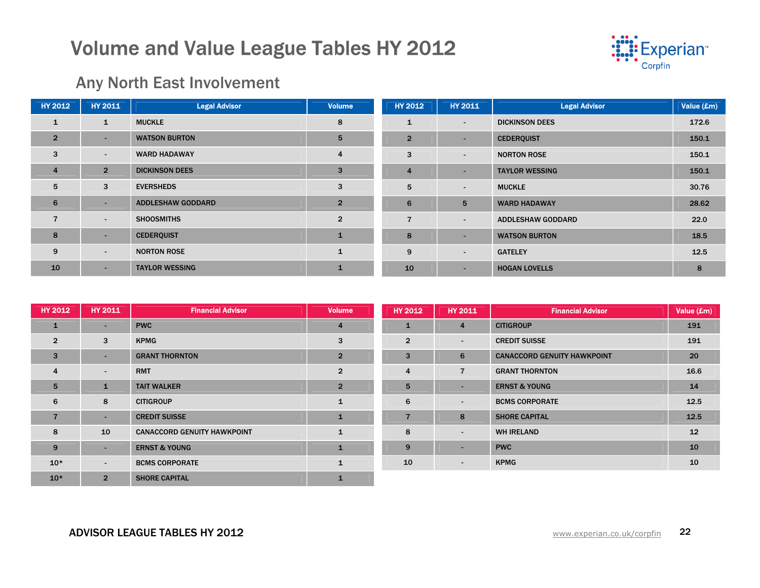

### Any North East Involvement

| <b>HY 2012</b> | <b>HY 2011</b> | <b>Legal Advisor</b>     | <b>Volume</b>           | <b>HY 2012</b> | <b>HY 2011</b> | <b>Legal Advisor</b>     | Value (£m) |
|----------------|----------------|--------------------------|-------------------------|----------------|----------------|--------------------------|------------|
| $\mathbf{1}$   | $\mathbf{1}$   | <b>MUCKLE</b>            | 8                       | $\mathbf{1}$   | $\sim$         | <b>DICKINSON DEES</b>    | 172.6      |
| $\overline{2}$ | $\sim$         | <b>WATSON BURTON</b>     | $5\phantom{.0}$         | $\overline{2}$ |                | <b>CEDERQUIST</b>        | 150.1      |
| 3              | $\sim$         | <b>WARD HADAWAY</b>      | $\overline{\mathbf{4}}$ | 3              | $\sim$         | <b>NORTON ROSE</b>       | 150.1      |
| $\overline{4}$ | $\overline{2}$ | <b>DICKINSON DEES</b>    | 3                       | $\overline{4}$ |                | <b>TAYLOR WESSING</b>    | 150.1      |
| 5              | 3              | <b>EVERSHEDS</b>         | 3                       | 5              | $\sim$         | <b>MUCKLE</b>            | 30.76      |
| 6              | ۰.             | <b>ADDLESHAW GODDARD</b> | $\overline{2}$          | 6              | 5              | <b>WARD HADAWAY</b>      | 28.62      |
| $\overline{7}$ | $\sim$         | <b>SHOOSMITHS</b>        | $\overline{2}$          | 7              | $\sim$         | <b>ADDLESHAW GODDARD</b> | 22.0       |
| 8              | $\sim$         | <b>CEDERQUIST</b>        | $\mathbf{1}$            | 8              |                | <b>WATSON BURTON</b>     | 18.5       |
| 9              | $\sim$         | <b>NORTON ROSE</b>       | $\mathbf{1}$            | 9              | $\sim$         | <b>GATELEY</b>           | 12.5       |
| 10             | $\sim$         | <b>TAYLOR WESSING</b>    | ı                       | 10             | ۰.             | <b>HOGAN LOVELLS</b>     | 8          |

| <b>HY 2012</b> | <b>HY 2011</b>  | <b>Financial Advisor</b>           | <b>Volume</b>  | <b>HY 2012</b> | <b>HY 2011</b>           | <b>Financial Advisor</b>           | Value (£m) |
|----------------|-----------------|------------------------------------|----------------|----------------|--------------------------|------------------------------------|------------|
| $\mathbf{1}$   | $\sim$          | <b>PWC</b>                         | $\overline{4}$ | u.             | $\overline{4}$           | <b>CITIGROUP</b>                   | 191        |
| $\overline{2}$ | 3               | <b>KPMG</b>                        | 3              | $\overline{2}$ | $\sim$                   | <b>CREDIT SUISSE</b>               | 191        |
| 3              | $\sim$          | <b>GRANT THORNTON</b>              | $\overline{2}$ | 3              | 6                        | <b>CANACCORD GENUITY HAWKPOINT</b> | 20         |
| $\overline{4}$ | $\blacksquare$  | <b>RMT</b>                         | $\overline{2}$ | 4              | $\overline{7}$           | <b>GRANT THORNTON</b>              | 16.6       |
| 5              | $\mathbf{1}$    | <b>TAIT WALKER</b>                 | $\overline{2}$ | 5              | $\sim$                   | <b>ERNST &amp; YOUNG</b>           | 14         |
| 6              | 8               | <b>CITIGROUP</b>                   | $\mathbf{1}$   | 6              | $\sim$                   | <b>BCMS CORPORATE</b>              | 12.5       |
| $\overline{7}$ | $\sim$          | <b>CREDIT SUISSE</b>               | $\mathbf{1}$   | $\overline{ }$ | 8                        | <b>SHORE CAPITAL</b>               | 12.5       |
| 8              | 10 <sup>°</sup> | <b>CANACCORD GENUITY HAWKPOINT</b> | $\mathbf{1}$   | 8              | $\sim$                   | <b>WH IRELAND</b>                  | 12         |
| 9              | $\sim$          | <b>ERNST &amp; YOUNG</b>           | $\mathbf{1}$   | 9              | $\overline{\phantom{a}}$ | <b>PWC</b>                         | 10         |
| $10*$          | $\sim$          | <b>BCMS CORPORATE</b>              | $\mathbf{1}$   | 10             | $\sim$                   | <b>KPMG</b>                        | 10         |
| $10*$          | $\overline{2}$  | <b>SHORE CAPITAL</b>               |                |                |                          |                                    |            |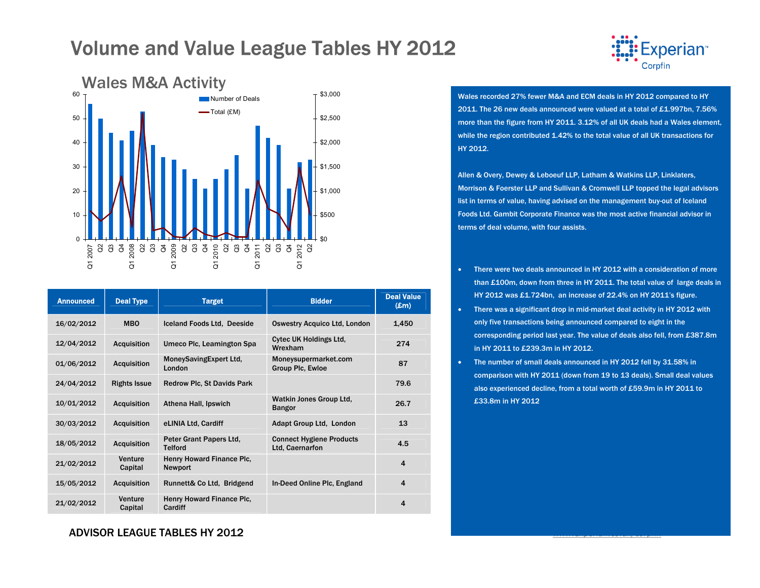

| <b>Announced</b> | <b>Deal Type</b>    | <b>Target</b>                               | <b>Bidder</b>                                      | <b>Deal Value</b><br>$(\pmb{\pounds} \mathbf{m})$ |
|------------------|---------------------|---------------------------------------------|----------------------------------------------------|---------------------------------------------------|
| 16/02/2012       | <b>MBO</b>          | Iceland Foods Ltd. Deeside                  | <b>Oswestry Acquico Ltd, London</b>                | 1,450                                             |
| 12/04/2012       | <b>Acquisition</b>  | Umeco Plc, Leamington Spa                   | <b>Cytec UK Holdings Ltd.</b><br>Wrexham           | 274                                               |
| 01/06/2012       | <b>Acquisition</b>  | MoneySavingExpert Ltd,<br>London            | Moneysupermarket.com<br><b>Group Plc, Ewloe</b>    | 87                                                |
| 24/04/2012       | <b>Rights Issue</b> | <b>Redrow Plc, St Davids Park</b>           |                                                    | 79.6                                              |
| 10/01/2012       | <b>Acquisition</b>  | Athena Hall, Ipswich                        | Watkin Jones Group Ltd.<br><b>Bangor</b>           | 26.7                                              |
| 30/03/2012       | <b>Acquisition</b>  | eLINIA Ltd, Cardiff                         | Adapt Group Ltd, London                            | 13                                                |
| 18/05/2012       | <b>Acquisition</b>  | Peter Grant Papers Ltd,<br><b>Telford</b>   | <b>Connect Hygiene Products</b><br>Ltd. Caernarfon | 4.5                                               |
| 21/02/2012       | Venture<br>Capital  | Henry Howard Finance Plc,<br><b>Newport</b> |                                                    | $\overline{4}$                                    |
| 15/05/2012       | <b>Acquisition</b>  | Runnett& Co Ltd, Bridgend                   | In-Deed Online Plc, England                        | 4                                                 |
| 21/02/2012       | Venture<br>Capital  | Henry Howard Finance Plc.<br>Cardiff        |                                                    | 4                                                 |

Wales recorded 27% fewer M&A and ECM deals in HY 2012 compared to HY 2011. The 26 new deals announced were valued at a total of £1.997bn, 7.56% more than the figure from HY 2011. 3.12% of all UK deals had a Wales element, while the region contributed 1.42% to the total value of all UK transactions for HY 2012.

**perian** 

Allen & Overy, Dewey & Leboeuf LLP, Latham & Watkins LLP, Linklaters, Morrison & Foerster LLP and Sullivan & Cromwell LLP topped the legal advisors list in terms of value, having advised on the management buy-out of Iceland Foods Ltd. Gambit Corporate Finance was the most active financial advisor in terms of deal volume, with four assists.

- • There were two deals announced in HY 2012 with a consideration of more than £100m, down from three in HY 2011. The total value of large deals in HY 2012 was £1.724bn, an increase of 22.4% on HY 2011's figure.
- There was a significant drop in mid-market deal activity in HY 2012 with only five transactions being announced compared to eight in the corresponding period last year. The value of deals also fell, from £387.8m in HY 2011 to £239.3m in HY 2012.
- • The number of small deals announced in HY 2012 fell by 31.58% in comparison with HY 2011 (down from 19 to 13 deals). Small deal values also experienced decline, from a total worth of £59.9m in HY 2011 to £33.8m in HY 2012

ADVISOR LEAGUE TABLES HY 2012 $2$  and  $\epsilon$  and  $\epsilon$  and  $\epsilon$  and  $\epsilon$  and  $\epsilon$  and  $\epsilon$  and  $\epsilon$  and  $\epsilon$  and  $\epsilon$  and  $\epsilon$  and  $\epsilon$  and  $\epsilon$  and  $\epsilon$  and  $\epsilon$  and  $\epsilon$  and  $\epsilon$  and  $\epsilon$  and  $\epsilon$  and  $\epsilon$  and  $\epsilon$  and  $\epsilon$  and  $\epsilon$  and  $\epsilon$  and  $\epsilon$  a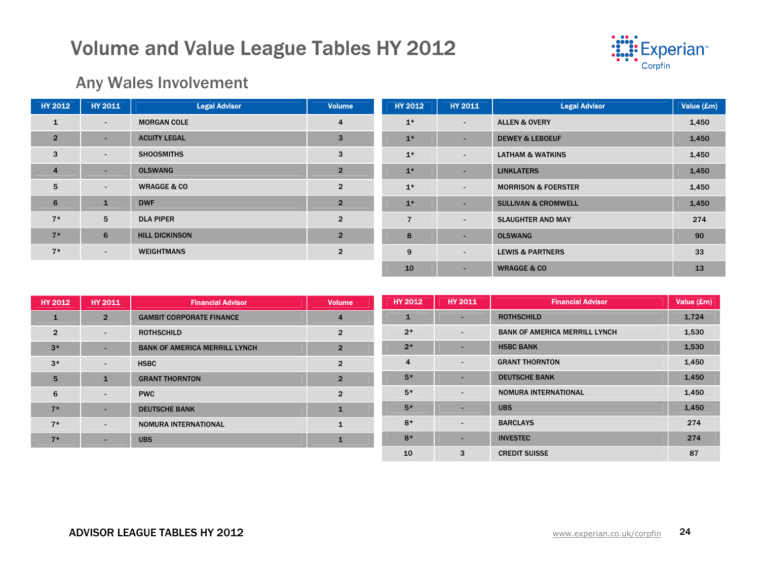

### Any Wales Involvement

| <b>HY 2012</b> | <b>HY 2011</b> | <b>Legal Advisor</b>   | <b>Volume</b>  | HY 2012        | <b>HY 2011</b> | <b>Legal Advisor</b>           | Value (£m) |
|----------------|----------------|------------------------|----------------|----------------|----------------|--------------------------------|------------|
| $\mathbf{1}$   | $\sim$         | <b>MORGAN COLE</b>     | $\overline{4}$ | $1*$           | $\sim$         | <b>ALLEN &amp; OVERY</b>       | 1,450      |
| $\overline{2}$ | ۰              | <b>ACUITY LEGAL</b>    | 3              | $1*$           | $\sim$         | <b>DEWEY &amp; LEBOEUF</b>     | 1,450      |
| 3              | $\blacksquare$ | <b>SHOOSMITHS</b>      | 3              | $1*$           | $\sim$         | <b>LATHAM &amp; WATKINS</b>    | 1,450      |
| $\overline{4}$ | ۰              | <b>OLSWANG</b>         | $\overline{2}$ | $1*$           | $\sim$         | <b>LINKLATERS</b>              | 1,450      |
| 5              | $\sim$         | <b>WRAGGE &amp; CO</b> | $\overline{2}$ | $1*$           | $\sim$         | <b>MORRISON &amp; FOERSTER</b> | 1,450      |
| 6              | $\mathbf{1}$   | <b>DWF</b>             | $\overline{2}$ | $1*$           | $\sim$         | <b>SULLIVAN &amp; CROMWELL</b> | 1,450      |
| $7*$           | 5              | <b>DLA PIPER</b>       | $\overline{2}$ | $\overline{7}$ | ۰.             | <b>SLAUGHTER AND MAY</b>       | 274        |
| $7*$           | 6              | <b>HILL DICKINSON</b>  | $\overline{2}$ | 8              | ۰              | <b>OLSWANG</b>                 | 90         |
| $7*$           | $\sim$         | <b>WEIGHTMANS</b>      | $\overline{2}$ | 9              | $\sim$         | <b>LEWIS &amp; PARTNERS</b>    | 33         |
|                |                |                        |                | 10             | ۰.             | <b>WRAGGE &amp; CO</b>         | 13         |

| <b>HY 2012</b>  | <b>HY 2011</b>           | <b>Financial Advisor</b>             | <b>Volume</b>  | <b>HY 2012</b> | <b>HY 2011</b>           | <b>Financial Advisor</b>             | Value (£m) |
|-----------------|--------------------------|--------------------------------------|----------------|----------------|--------------------------|--------------------------------------|------------|
| $\mathbf{1}$    | $\overline{2}$           | <b>GAMBIT CORPORATE FINANCE</b>      | $\overline{4}$ |                |                          | <b>ROTHSCHILD</b>                    | 1,724      |
| $\overline{2}$  | $\overline{\phantom{a}}$ | <b>ROTHSCHILD</b>                    | $\overline{2}$ | $2*$           | $\sim$                   | <b>BANK OF AMERICA MERRILL LYNCH</b> | 1,530      |
| $3*$            | -                        | <b>BANK OF AMERICA MERRILL LYNCH</b> | $\overline{2}$ | $2*$           | -                        | <b>HSBC BANK</b>                     | 1,530      |
| $3*$            | $\overline{\phantom{0}}$ | <b>HSBC</b>                          | $\overline{2}$ | 4              | $\sim$                   | <b>GRANT THORNTON</b>                | 1,450      |
| $5\overline{5}$ | $\mathbf{1}$             | <b>GRANT THORNTON</b>                | $\overline{2}$ | $5*$           |                          | <b>DEUTSCHE BANK</b>                 | 1,450      |
| 6               | $\overline{\phantom{a}}$ | <b>PWC</b>                           | $\overline{2}$ | $5*$           | $\overline{\phantom{0}}$ | NOMURA INTERNATIONAL                 | 1,450      |
| $7*$            | -                        | <b>DEUTSCHE BANK</b>                 | $\mathbf{1}$   | $5*$           |                          | <b>UBS</b>                           | 1,450      |
| $7*$            | $\overline{\phantom{0}}$ | <b>NOMURA INTERNATIONAL</b>          | 1              | $8*$           | $\sim$                   | <b>BARCLAYS</b>                      | 274        |
| $7*$            | $\overline{\phantom{0}}$ | <b>UBS</b>                           |                | $8*$           |                          | <b>INVESTEC</b>                      | 274        |
|                 |                          |                                      |                | 10             | 3                        | <b>CREDIT SUISSE</b>                 | 87         |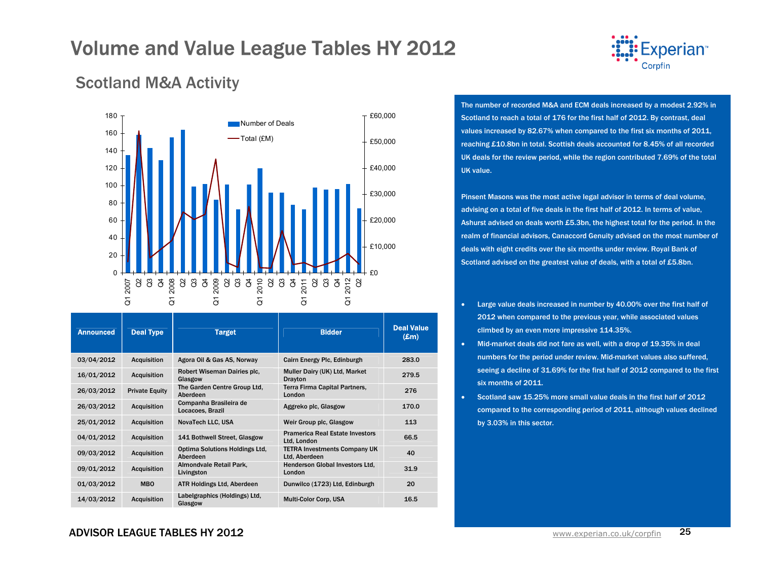

### Scotland M&A Activity



| <b>Announced</b> | <b>Deal Type</b>      | <b>Target</b>                              | <b>Bidder</b>                                         | <b>Deal Value</b><br>$(\mathbf{Em})$ |
|------------------|-----------------------|--------------------------------------------|-------------------------------------------------------|--------------------------------------|
| 03/04/2012       | <b>Acquisition</b>    | Agora Oil & Gas AS, Norway                 | Cairn Energy Plc, Edinburgh                           | 283.0                                |
| 16/01/2012       | <b>Acquisition</b>    | Robert Wiseman Dairies plc.<br>Glasgow     | Muller Dairy (UK) Ltd, Market<br><b>Drayton</b>       | 279.5                                |
| 26/03/2012       | <b>Private Equity</b> | The Garden Centre Group Ltd.<br>Aberdeen   | Terra Firma Capital Partners,<br>London               | 276                                  |
| 26/03/2012       | <b>Acquisition</b>    | Companha Brasileira de<br>Locacoes, Brazil | Aggreko plc, Glasgow                                  | 170.0                                |
| 25/01/2012       | <b>Acquisition</b>    | NovaTech LLC, USA                          | Weir Group plc, Glasgow                               | 113                                  |
| 04/01/2012       | <b>Acquisition</b>    | 141 Bothwell Street, Glasgow               | <b>Pramerica Real Estate Investors</b><br>Ltd, London | 66.5                                 |
| 09/03/2012       | <b>Acquisition</b>    | Optima Solutions Holdings Ltd.<br>Aberdeen | <b>TETRA Investments Company UK</b><br>Ltd, Aberdeen  | 40                                   |
| 09/01/2012       | <b>Acquisition</b>    | Almondvale Retail Park,<br>Livingston      | Henderson Global Investors Ltd.<br>London             | 31.9                                 |
| 01/03/2012       | <b>MBO</b>            | <b>ATR Holdings Ltd, Aberdeen</b>          | Dunwilco (1723) Ltd, Edinburgh                        | 20                                   |
| 14/03/2012       | <b>Acquisition</b>    | Labelgraphics (Holdings) Ltd,<br>Glasgow   | <b>Multi-Color Corp. USA</b>                          | 16.5                                 |

The number of recorded M&A and ECM deals increased by a modest 2.92% in Scotland to reach a total of 176 for the first half of 2012. By contrast, deal values increased by 82.67% when compared to the first six months of 2011, reaching £10.8bn in total. Scottish deals accounted for 8.45% of all recorded UK deals for the review period, while the region contributed 7.69% of the total UK value.

Pinsent Masons was the most active legal advisor in terms of deal volume, advising on a total of five deals in the first half of 2012. In terms of value, Ashurst advised on deals worth £5.3bn, the highest total for the period. In the realm of financial advisors, Canaccord Genuity advised on the most number of deals with eight credits over the six months under review. Royal Bank of Scotland advised on the greatest value of deals, with a total of £5.8bn.

- Large value deals increased in number by 40.00% over the first half of 2012 when compared to the previous year, while associated values climbed by an even more impressive 114.35%.
- • Mid-market deals did not fare as well, with a drop of 19.35% in deal numbers for the period under review. Mid-market values also suffered, seeing a decline of 31.69% for the first half of 2012 compared to the first six months of 2011.
- • Scotland saw 15.25% more small value deals in the first half of 2012 compared to the corresponding period of 2011, although values declined by 3.03% in this sector.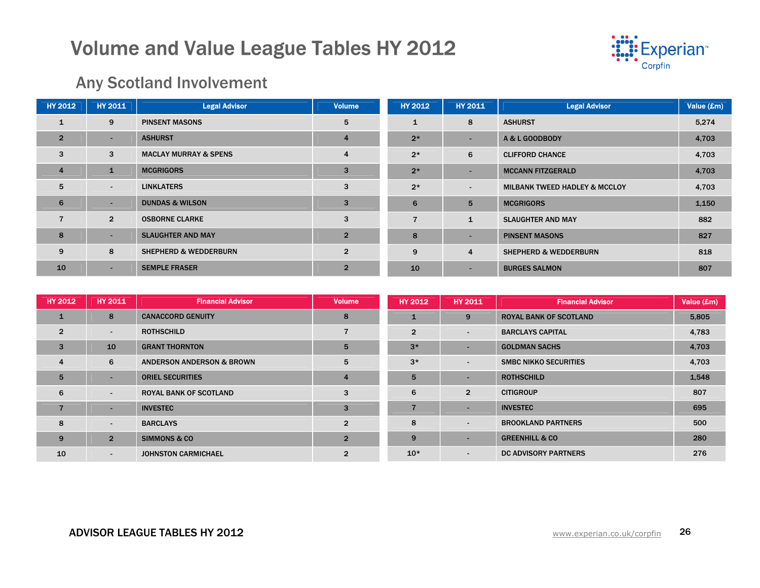

### Any Scotland Involvement

| <b>HY 2012</b> | <b>HY 2011</b> | <b>Legal Advisor</b>             | <b>Volume</b>  | <b>HY 2012</b> | <b>HY 2011</b> | <b>Legal Advisor</b>                     | Value (£m) |
|----------------|----------------|----------------------------------|----------------|----------------|----------------|------------------------------------------|------------|
|                | 9              | <b>PINSENT MASONS</b>            | 5              | $\mathbf{1}$   | 8              | <b>ASHURST</b>                           | 5,274      |
| $\overline{2}$ | ۰.             | <b>ASHURST</b>                   | $\overline{4}$ | $2*$           | -              | A & L GOODBODY                           | 4,703      |
| 3              | 3              | <b>MACLAY MURRAY &amp; SPENS</b> | $\overline{4}$ | $2*$           | 6              | <b>CLIFFORD CHANCE</b>                   | 4,703      |
| $\overline{4}$ | $\mathbf{1}$   | <b>MCGRIGORS</b>                 | 3              | $2*$           | -              | <b>MCCANN FITZGERALD</b>                 | 4,703      |
| 5              | $\sim$         | <b>LINKLATERS</b>                | 3              | $2*$           | ۰.             | <b>MILBANK TWEED HADLEY &amp; MCCLOY</b> | 4,703      |
| 6              |                | <b>DUNDAS &amp; WILSON</b>       | 3              | 6              | 5              | <b>MCGRIGORS</b>                         | 1,150      |
|                | $\overline{2}$ | <b>OSBORNE CLARKE</b>            | 3              |                | $\mathbf{1}$   | <b>SLAUGHTER AND MAY</b>                 | 882        |
| 8              | ۰.             | <b>SLAUGHTER AND MAY</b>         | $\overline{2}$ | 8              |                | <b>PINSENT MASONS</b>                    | 827        |
| 9              | 8              | <b>SHEPHERD &amp; WEDDERBURN</b> | $\overline{2}$ | 9              | $\overline{4}$ | <b>SHEPHERD &amp; WEDDERBURN</b>         | 818        |
| 10             | ۰.             | <b>SEMPLE FRASER</b>             | $\overline{2}$ | 10             |                | <b>BURGES SALMON</b>                     | 807        |

| <b>HY 2012</b> | <b>HY 2011</b>           | <b>Financial Advisor</b>             | <b>Volume</b>  | <b>HY 2012</b> | <b>HY 2011</b>           | <b>Financial Advisor</b>      | Value (£m) |
|----------------|--------------------------|--------------------------------------|----------------|----------------|--------------------------|-------------------------------|------------|
| -1             | 8                        | <b>CANACCORD GENUITY</b>             | 8              |                | 9                        | <b>ROYAL BANK OF SCOTLAND</b> | 5,805      |
| $\overline{2}$ | $\overline{\phantom{a}}$ | <b>ROTHSCHILD</b>                    | 7              | $\overline{2}$ | $\overline{\phantom{0}}$ | <b>BARCLAYS CAPITAL</b>       | 4,783      |
| $\overline{3}$ | 10                       | <b>GRANT THORNTON</b>                | 5              | $3*$           | $\overline{\phantom{a}}$ | <b>GOLDMAN SACHS</b>          | 4,703      |
| $\overline{4}$ | 6                        | <b>ANDERSON ANDERSON &amp; BROWN</b> | 5              | $3*$           | $\sim$                   | <b>SMBC NIKKO SECURITIES</b>  | 4,703      |
| 5              | $\overline{\phantom{0}}$ | <b>ORIEL SECURITIES</b>              | $\overline{4}$ | 5              |                          | <b>ROTHSCHILD</b>             | 1,548      |
| 6              | $\blacksquare$           | <b>ROYAL BANK OF SCOTLAND</b>        | 3              | 6              | $\overline{2}$           | <b>CITIGROUP</b>              | 807        |
| 7              | $\overline{\phantom{0}}$ | <b>INVESTEC</b>                      | 3              |                |                          | <b>INVESTEC</b>               | 695        |
| 8              | $\blacksquare$           | <b>BARCLAYS</b>                      | $\overline{2}$ | 8              | $\overline{\phantom{0}}$ | <b>BROOKLAND PARTNERS</b>     | 500        |
| 9              | $\overline{2}$           | <b>SIMMONS &amp; CO</b>              | $\overline{2}$ | 9              | -                        | <b>GREENHILL &amp; CO</b>     | 280        |
| 10             | $\blacksquare$           | <b>JOHNSTON CARMICHAEL</b>           | $\overline{2}$ | $10*$          | $\blacksquare$           | <b>DC ADVISORY PARTNERS</b>   | 276        |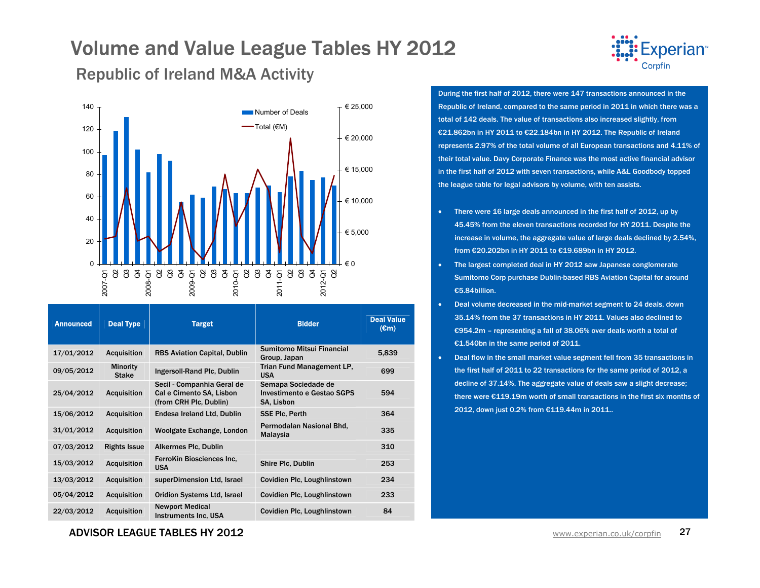Republic of Ireland M&A Activity



| <b>Announced</b> | <b>Deal Type</b>                | <b>Target</b>                                                                    | <b>Bidder</b>                                                   | <b>Deal Value</b><br>(€m) |
|------------------|---------------------------------|----------------------------------------------------------------------------------|-----------------------------------------------------------------|---------------------------|
| 17/01/2012       | <b>Acquisition</b>              | <b>RBS Aviation Capital, Dublin</b>                                              | Sumitomo Mitsui Financial<br>Group, Japan                       | 5,839                     |
| 09/05/2012       | <b>Minority</b><br><b>Stake</b> | Ingersoll-Rand Plc, Dublin                                                       | <b>Trian Fund Management LP,</b><br><b>USA</b>                  | 699                       |
| 25/04/2012       | <b>Acquisition</b>              | Secil - Companhia Geral de<br>Cal e Cimento SA, Lisbon<br>(from CRH Plc, Dublin) | Semapa Sociedade de<br>Investimento e Gestao SGPS<br>SA, Lisbon | 594                       |
| 15/06/2012       | <b>Acquisition</b>              | Endesa Ireland Ltd, Dublin                                                       | <b>SSE Plc. Perth</b>                                           | 364                       |
| 31/01/2012       | <b>Acquisition</b>              | Woolgate Exchange, London                                                        | Permodalan Nasional Bhd,<br>Malaysia                            | 335                       |
| 07/03/2012       | <b>Rights Issue</b>             | <b>Alkermes Plc, Dublin</b>                                                      |                                                                 | 310                       |
| 15/03/2012       | <b>Acquisition</b>              | FerroKin Biosciences Inc.<br><b>USA</b>                                          | Shire Plc, Dublin                                               | 253                       |
| 13/03/2012       | <b>Acquisition</b>              | superDimension Ltd, Israel                                                       | Covidien Plc, Loughlinstown                                     | 234                       |
| 05/04/2012       | <b>Acquisition</b>              | <b>Oridion Systems Ltd. Israel</b>                                               | Covidien Plc, Loughlinstown                                     | 233                       |
| 22/03/2012       | <b>Acquisition</b>              | <b>Newport Medical</b><br><b>Instruments Inc. USA</b>                            | Covidien Plc, Loughlinstown                                     | 84                        |



During the first half of 2012, there were 147 transactions announced in the Republic of Ireland, compared to the same period in 2011 in which there was a total of 142 deals. The value of transactions also increased slightly, from €21.862bn in HY 2011 to €22.184bn in HY 2012. The Republic of Ireland represents 2.97% of the total volume of all European transactions and 4.11% of their total value. Davy Corporate Finance was the most active financial advisor in the first half of 2012 with seven transactions, while A&L Goodbody topped the league table for legal advisors by volume, with ten assists.

- There were 16 large deals announced in the first half of 2012, up by 45.45% from the eleven transactions recorded for HY 2011. Despite the increase in volume, the aggregate value of large deals declined by 2.54%, from €20.202bn in HY 2011 to €19.689bn in HY 2012.
- The largest completed deal in HY 2012 saw Japanese conglomerate Sumitomo Corp purchase Dublin-based RBS Aviation Capital for around €5.84billion.
- • Deal volume decreased in the mid-market segment to 24 deals, down 35.14% from the 37 transactions in HY 2011. Values also declined to €954.2m – representing a fall of 38.06% over deals worth a total of €1.540bn in the same period of 2011.
- Deal flow in the small market value segment fell from 35 transactions in the first half of 2011 to 22 transactions for the same period of 2012, a decline of 37.14%. The aggregate value of deals saw a slight decrease; there were €119.19m worth of small transactions in the first six months of 2012, down just 0.2% from €119.44m in 2011..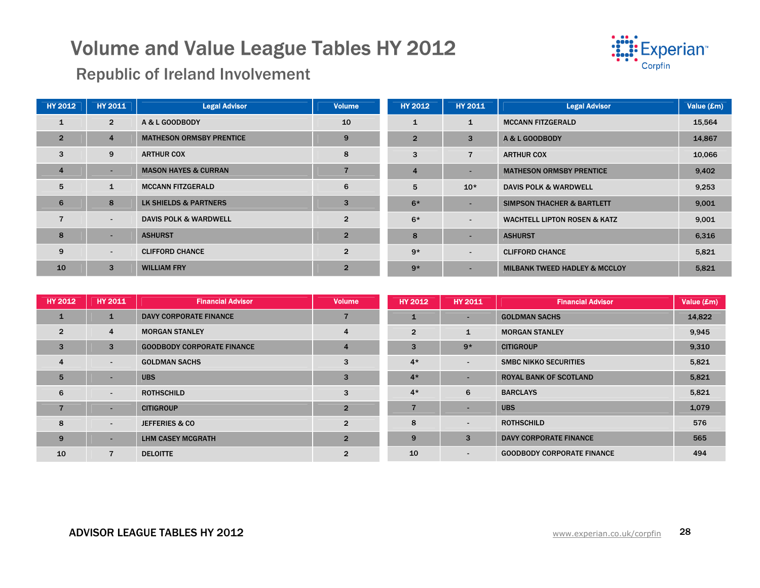

Republic of Ireland Involvement

| <b>HY 2012</b> | <b>HY 2011</b> | <b>Legal Advisor</b>             | <b>Volume</b>  | <b>HY 2012</b> | <b>HY 2011</b> | <b>Legal Advisor</b>                     | Value (£m) |
|----------------|----------------|----------------------------------|----------------|----------------|----------------|------------------------------------------|------------|
|                | $\overline{2}$ | A & L GOODBODY                   | 10             |                |                | <b>MCCANN FITZGERALD</b>                 | 15,564     |
| $\overline{2}$ | 4              | <b>MATHESON ORMSBY PRENTICE</b>  | 9              | $\overline{2}$ | 3              | A & L GOODBODY                           | 14,867     |
| 3              | 9              | <b>ARTHUR COX</b>                | 8              | 3              |                | <b>ARTHUR COX</b>                        | 10,066     |
| 4              | ۰              | <b>MASON HAYES &amp; CURRAN</b>  |                | 4              |                | <b>MATHESON ORMSBY PRENTICE</b>          | 9,402      |
| 5              | $\mathbf{1}$   | <b>MCCANN FITZGERALD</b>         | 6              | 5              | $10*$          | <b>DAVIS POLK &amp; WARDWELL</b>         | 9,253      |
| 6              | 8              | LK SHIELDS & PARTNERS            | 3              | $6*$           |                | <b>SIMPSON THACHER &amp; BARTLETT</b>    | 9,001      |
| $\overline{7}$ | ۰.             | <b>DAVIS POLK &amp; WARDWELL</b> | $\overline{2}$ | $6*$           | $\blacksquare$ | <b>WACHTELL LIPTON ROSEN &amp; KATZ</b>  | 9,001      |
| 8              | ÷              | <b>ASHURST</b>                   | $\overline{2}$ | 8              |                | <b>ASHURST</b>                           | 6,316      |
| 9              | $\sim$         | <b>CLIFFORD CHANCE</b>           | $\overline{2}$ | $9*$           |                | <b>CLIFFORD CHANCE</b>                   | 5,821      |
| 10             | 3              | <b>WILLIAM FRY</b>               | $\overline{2}$ | $9*$           |                | <b>MILBANK TWEED HADLEY &amp; MCCLOY</b> | 5,821      |

| <b>HY 2012</b> | <b>HY 2011</b>           | <b>Financial Advisor</b>          | <b>Volume</b>  | HY 2012        | <b>HY 2011</b> | <b>Financial Advisor</b>          | Value (£m) |
|----------------|--------------------------|-----------------------------------|----------------|----------------|----------------|-----------------------------------|------------|
| 1              | $\mathbf{1}$             | DAVY CORPORATE FINANCE            |                |                | . .            | <b>GOLDMAN SACHS</b>              | 14,822     |
| $\overline{2}$ | 4                        | <b>MORGAN STANLEY</b>             | $\overline{4}$ | $\overline{2}$ | $\mathbf{1}$   | <b>MORGAN STANLEY</b>             | 9,945      |
| $\overline{3}$ | 3                        | <b>GOODBODY CORPORATE FINANCE</b> | $\overline{4}$ | 3              | $9*$           | <b>CITIGROUP</b>                  | 9,310      |
| $\overline{4}$ | $\sim$                   | <b>GOLDMAN SACHS</b>              | 3              | $4*$           | $\sim$         | <b>SMBC NIKKO SECURITIES</b>      | 5,821      |
| 5              | $\overline{\phantom{0}}$ | <b>UBS</b>                        | 3              | $4*$           |                | <b>ROYAL BANK OF SCOTLAND</b>     | 5,821      |
| 6              | $\blacksquare$           | <b>ROTHSCHILD</b>                 | 3              | $4*$           | 6              | <b>BARCLAYS</b>                   | 5,821      |
| 7              | $\overline{\phantom{a}}$ | <b>CITIGROUP</b>                  | $\overline{2}$ |                |                | <b>UBS</b>                        | 1,079      |
| 8              | $\blacksquare$           | <b>JEFFERIES &amp; CO</b>         | $\overline{2}$ | 8              |                | <b>ROTHSCHILD</b>                 | 576        |
| 9              | $\overline{\phantom{0}}$ | LHM CASEY MCGRATH                 | $\overline{2}$ | 9              | 3              | <b>DAVY CORPORATE FINANCE</b>     | 565        |
| 10             |                          | <b>DELOITTE</b>                   | $\overline{2}$ | 10             | $\sim$         | <b>GOODBODY CORPORATE FINANCE</b> | 494        |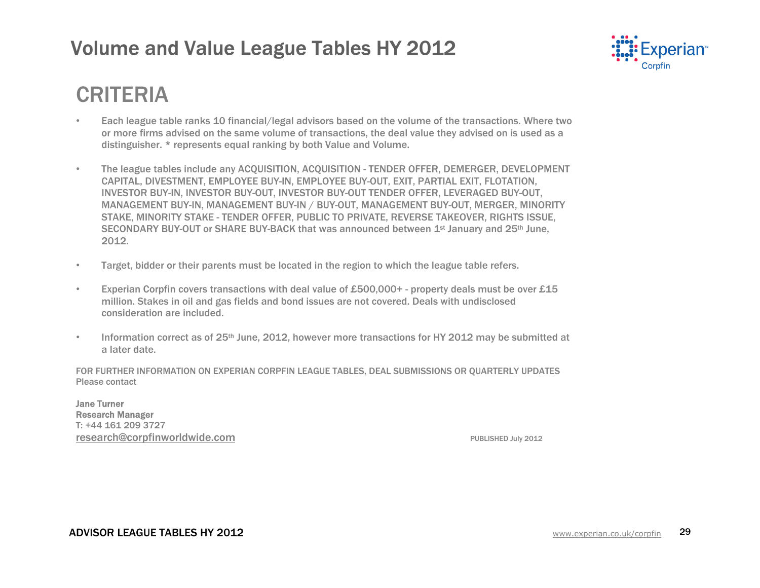

## CRITERIA

- Each league table ranks 10 financial/legal advisors based on the volume of the transactions. Where two or more firms advised on the same volume of transactions, the deal value they advised on is used as a distinguisher. \* represents equal ranking by both Value and Volume.
- The league tables include any ACQUISITION, ACQUISITION TENDER OFFER, DEMERGER, DEVELOPMENT CAPITAL, DIVESTMENT, EMPLOYEE BUY-IN, EMPLOYEE BUY-OUT, EXIT, PARTIAL EXIT, FLOTATION, INVESTOR BUY-IN, INVESTOR BUY-OUT, INVESTOR BUY-OUT TENDER OFFER, LEVERAGED BUY-OUT, MANAGEMENT BUY-IN, MANAGEMENT BUY-IN / BUY-OUT, MANAGEMENT BUY-OUT, MERGER, MINORITY STAKE, MINORITY STAKE - TENDER OFFER, PUBLIC TO PRIVATE, REVERSE TAKEOVER, RIGHTS ISSUE, SECONDARY BUY-OUT or SHARE BUY-BACK that was announced between 1st January and 25th June, 2012.
- Target, bidder or their parents must be located in the region to which the league table refers.
- Experian Corpfin covers transactions with deal value of £500,000+ property deals must be over £15 million. Stakes in oil and gas fields and bond issues are not covered. Deals with undisclosed consideration are included.
- Information correct as of  $25<sup>th</sup>$  June, 2012, however more transactions for HY 2012 may be submitted at a later date.

FOR FURTHER INFORMATION ON EXPERIAN CORPFIN LEAGUE TABLES, DEAL SUBMISSIONS OR QUARTERLY UPDATES Please contact

Jane Turner Research Manager T: +44 161 209 3727 **research@corpfinworldwide.com** PUBLISHED July 2012